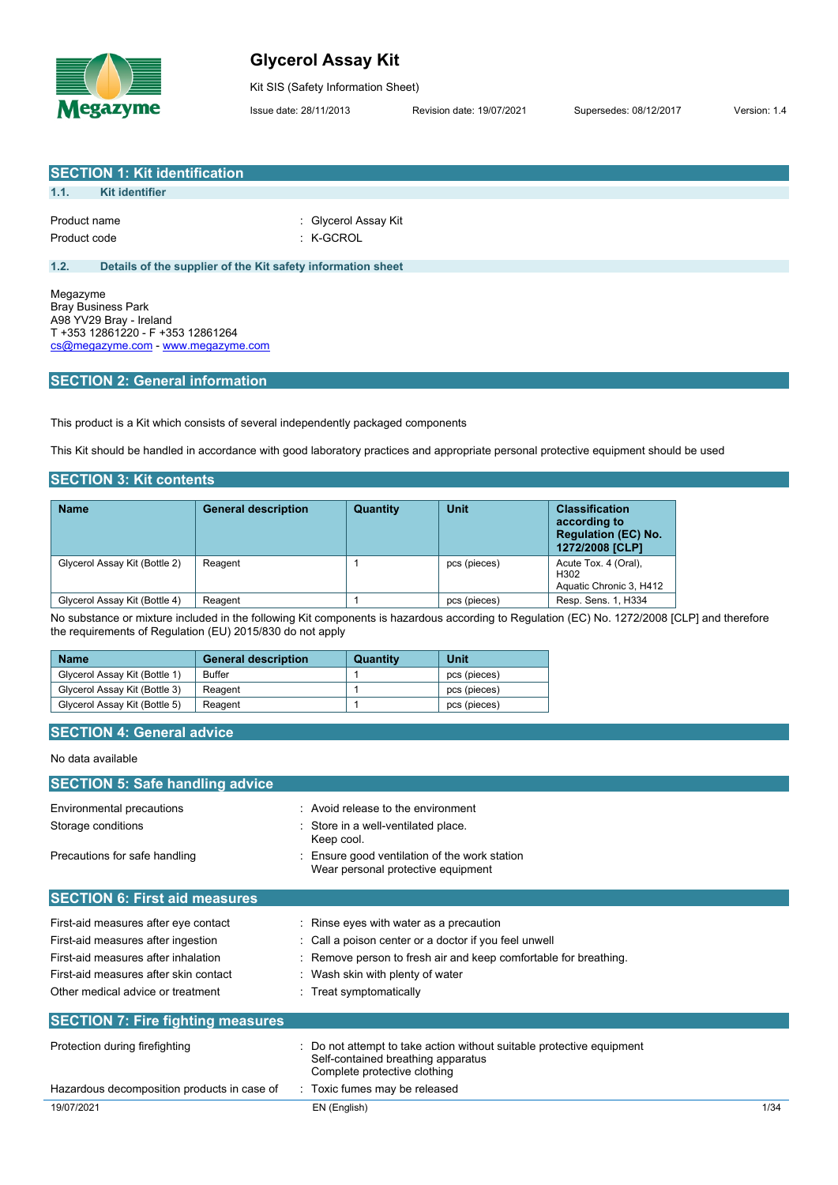

# **Glycerol Assay Kit**

Kit SIS (Safety Information Sheet)

Issue date: 28/11/2013 Revision date: 19/07/2021 Supersedes: 08/12/2017 Version: 1.4

**SECTION 1: Kit identification 1.1. Kit identifier** Product name  $\qquad \qquad$ : Glycerol Assay Kit Product code : K-GCROL **1.2. Details of the supplier of the Kit safety information sheet**

Megazyme Bray Business Park A98 YV29 Bray - Ireland T +353 12861220 - F +353 12861264 [cs@megazyme.com](mailto:cs@megazyme.com) - <www.megazyme.com>

# **SECTION 2: General information**

This product is a Kit which consists of several independently packaged components

This Kit should be handled in accordance with good laboratory practices and appropriate personal protective equipment should be used

# **SECTION 3: Kit contents**

| <b>Name</b>                   | <b>General description</b> | <b>Quantity</b> | Unit         | <b>Classification</b><br>according to<br><b>Regulation (EC) No.</b><br>1272/2008 [CLP] |
|-------------------------------|----------------------------|-----------------|--------------|----------------------------------------------------------------------------------------|
| Glycerol Assay Kit (Bottle 2) | Reagent                    |                 | pcs (pieces) | Acute Tox. 4 (Oral).<br>H <sub>302</sub><br>Aquatic Chronic 3, H412                    |
| Glycerol Assay Kit (Bottle 4) | Reagent                    |                 | pcs (pieces) | Resp. Sens. 1, H334                                                                    |

No substance or mixture included in the following Kit components is hazardous according to Regulation (EC) No. 1272/2008 [CLP] and therefore the requirements of Regulation (EU) 2015/830 do not apply

| <b>Name</b>                   | <b>General description</b> | Quantity | Unit         |
|-------------------------------|----------------------------|----------|--------------|
| Glycerol Assay Kit (Bottle 1) | Buffer                     |          | pcs (pieces) |
| Glycerol Assay Kit (Bottle 3) | Reagent                    |          | pcs (pieces) |
| Glycerol Assay Kit (Bottle 5) | Reagent                    |          | pcs (pieces) |

# **SECTION 4: General advice**

#### No data available

| <b>SECTION 5: Safe handling advice</b>      |                                                                                                                                           |      |
|---------------------------------------------|-------------------------------------------------------------------------------------------------------------------------------------------|------|
| Environmental precautions                   | : Avoid release to the environment                                                                                                        |      |
| Storage conditions                          | Store in a well-ventilated place.<br>Keep cool.                                                                                           |      |
| Precautions for safe handling               | Ensure good ventilation of the work station<br>Wear personal protective equipment                                                         |      |
| <b>SECTION 6: First aid measures</b>        |                                                                                                                                           |      |
| First-aid measures after eye contact        | : Rinse eyes with water as a precaution                                                                                                   |      |
| First-aid measures after ingestion          | : Call a poison center or a doctor if you feel unwell                                                                                     |      |
| First-aid measures after inhalation         | : Remove person to fresh air and keep comfortable for breathing.                                                                          |      |
| First-aid measures after skin contact       | : Wash skin with plenty of water                                                                                                          |      |
| Other medical advice or treatment           | : Treat symptomatically                                                                                                                   |      |
| <b>SECTION 7: Fire fighting measures</b>    |                                                                                                                                           |      |
| Protection during firefighting              | Do not attempt to take action without suitable protective equipment<br>Self-contained breathing apparatus<br>Complete protective clothing |      |
| Hazardous decomposition products in case of | : Toxic fumes may be released                                                                                                             |      |
| 19/07/2021                                  | EN (English)                                                                                                                              | 1/34 |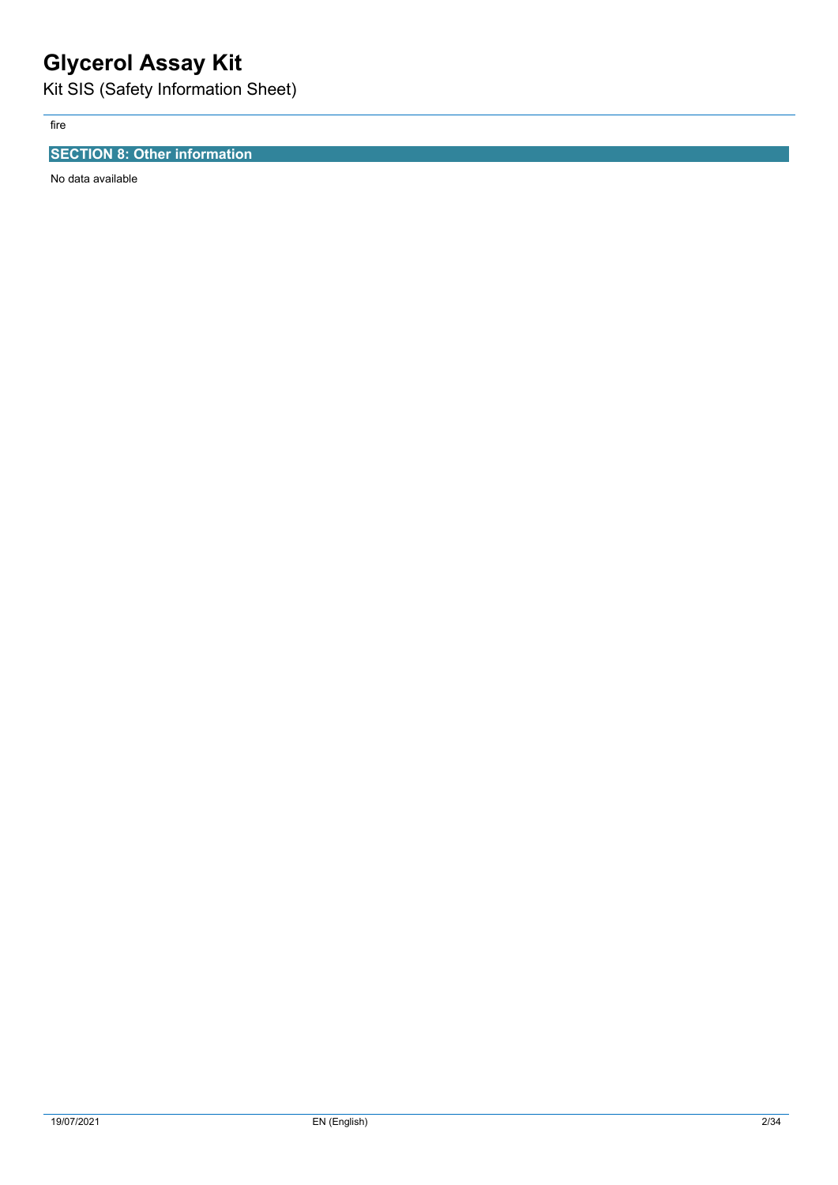# **Glycerol Assay Kit**

Kit SIS (Safety Information Sheet)

fire

# **SECTION 8: Other information**

No data available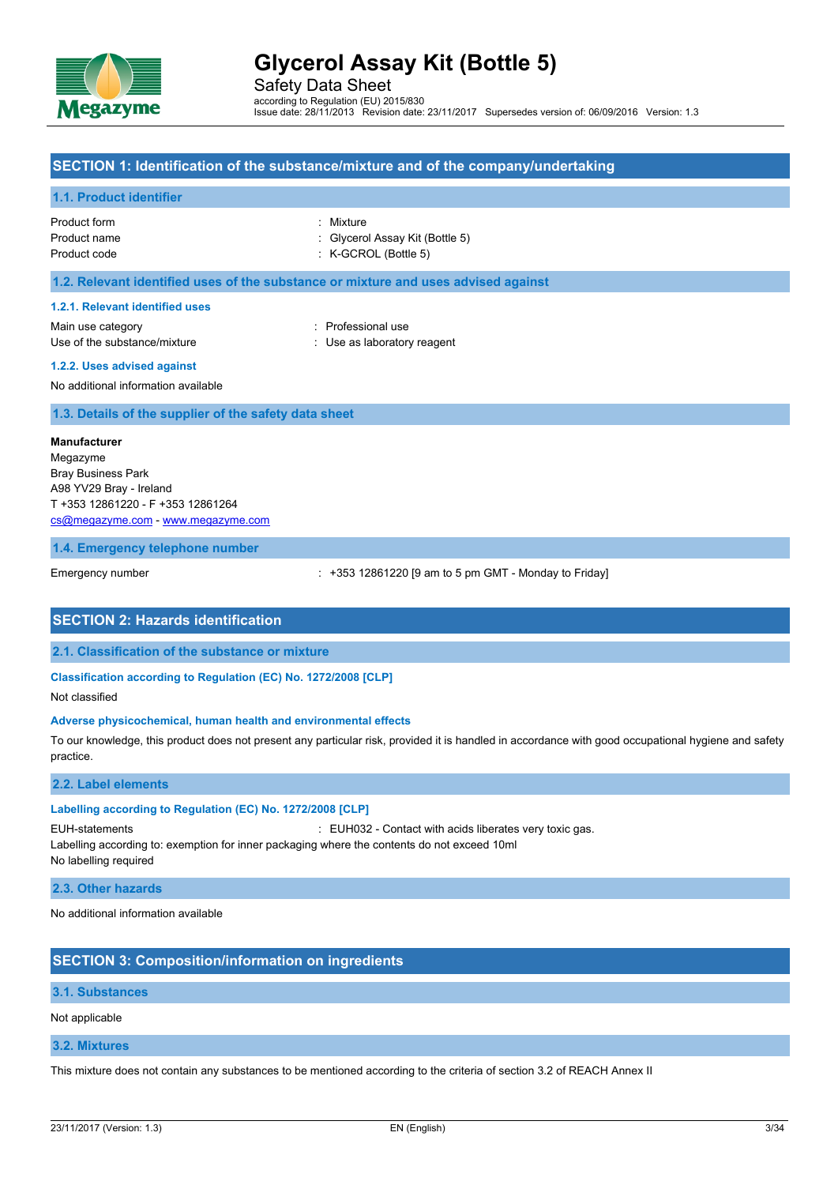

Safety Data Sheet according to Regulation (EU) 2015/830 Issue date: 28/11/2013 Revision date: 23/11/2017 Supersedes version of: 06/09/2016 Version: 1.3

### **SECTION 1: Identification of the substance/mixture and of the company/undertaking**

#### **1.1. Product identifier**

| Product form | : Mixture                       |
|--------------|---------------------------------|
| Product name | : Glycerol Assay Kit (Bottle 5) |
| Product code | $:$ K-GCROL (Bottle 5)          |

#### **1.2. Relevant identified uses of the substance or mixture and uses advised against**

#### **1.2.1. Relevant identified uses**

Main use category **Example 20** and the Professional use Use of the substance/mixture  $\qquad \qquad : \qquad$  Use as laboratory reagent

# **1.2.2. Uses advised against**

No additional information available

**1.3. Details of the supplier of the safety data sheet**

#### **Manufacturer**

Megazyme Bray Business Park A98 YV29 Bray - Ireland T +353 12861220 - F +353 12861264 [cs@megazyme.com](mailto:cs@megazyme.com) - <www.megazyme.com>

#### **1.4. Emergency telephone number**

Emergency number : +353 12861220 [9 am to 5 pm GMT - Monday to Friday]

# **SECTION 2: Hazards identification**

**2.1. Classification of the substance or mixture**

#### **Classification according to Regulation (EC) No. 1272/2008 [CLP]**

Not classified

#### **Adverse physicochemical, human health and environmental effects**

To our knowledge, this product does not present any particular risk, provided it is handled in accordance with good occupational hygiene and safety practice.

#### **2.2. Label elements**

#### **Labelling according to Regulation (EC) No. 1272/2008 [CLP]**

EUH-statements : EUH032 - Contact with acids liberates very toxic gas.

Labelling according to: exemption for inner packaging where the contents do not exceed 10ml No labelling required

#### **2.3. Other hazards**

No additional information available

# **SECTION 3: Composition/information on ingredients**

#### **3.1. Substances**

Not applicable

#### **3.2. Mixtures**

This mixture does not contain any substances to be mentioned according to the criteria of section 3.2 of REACH Annex II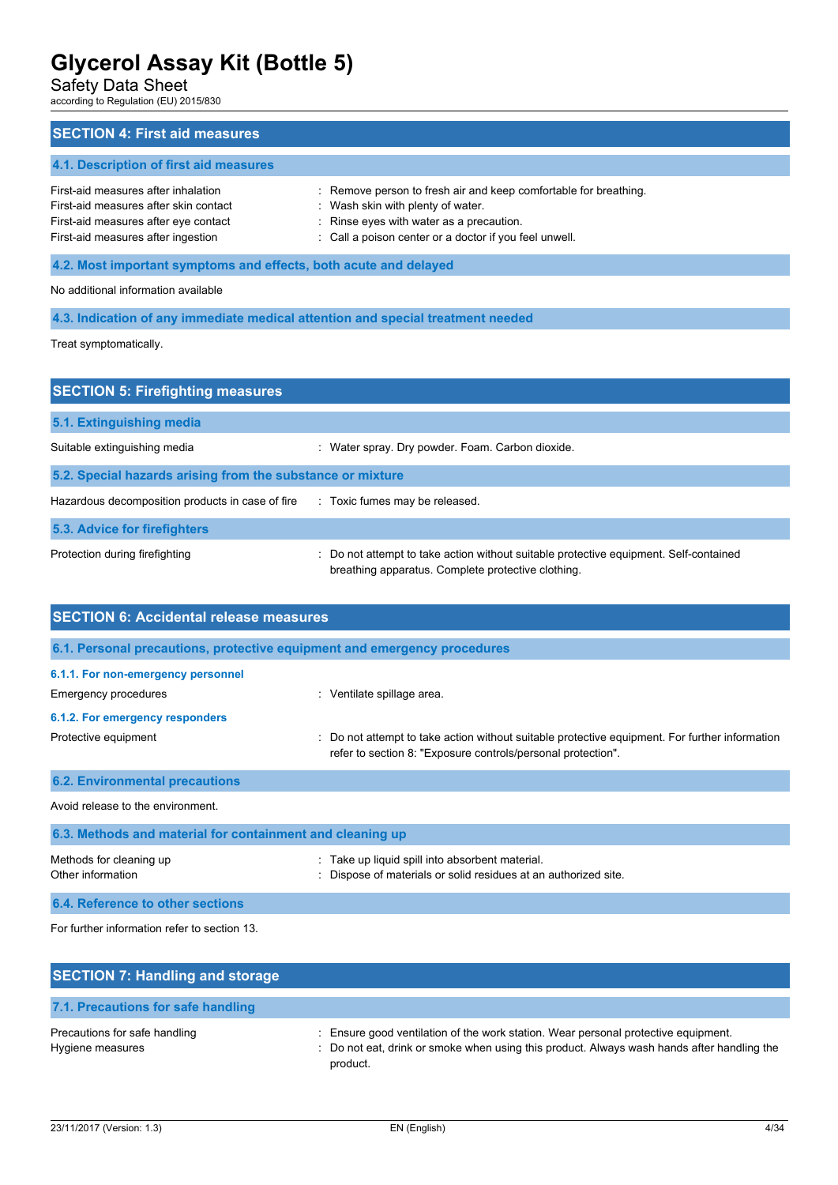Safety Data Sheet

according to Regulation (EU) 2015/830

| <b>SECTION 4: First aid measures</b>                                                                                                                       |                                                                                                                                                                                                             |  |  |
|------------------------------------------------------------------------------------------------------------------------------------------------------------|-------------------------------------------------------------------------------------------------------------------------------------------------------------------------------------------------------------|--|--|
| 4.1. Description of first aid measures                                                                                                                     |                                                                                                                                                                                                             |  |  |
| First-aid measures after inhalation<br>First-aid measures after skin contact<br>First-aid measures after eye contact<br>First-aid measures after ingestion | : Remove person to fresh air and keep comfortable for breathing.<br>: Wash skin with plenty of water.<br>: Rinse eyes with water as a precaution.<br>: Call a poison center or a doctor if you feel unwell. |  |  |
| 4.2. Most important symptoms and effects, both acute and delayed                                                                                           |                                                                                                                                                                                                             |  |  |
| No additional information available                                                                                                                        |                                                                                                                                                                                                             |  |  |
|                                                                                                                                                            | 4.3. Indication of any immediate medical attention and special treatment needed                                                                                                                             |  |  |

Treat symptomatically.

| <b>SECTION 5: Firefighting measures</b>                    |                                                                                                                                             |
|------------------------------------------------------------|---------------------------------------------------------------------------------------------------------------------------------------------|
| 5.1. Extinguishing media                                   |                                                                                                                                             |
| Suitable extinguishing media                               | Water spray. Dry powder. Foam. Carbon dioxide.                                                                                              |
| 5.2. Special hazards arising from the substance or mixture |                                                                                                                                             |
| Hazardous decomposition products in case of fire           | : Toxic fumes may be released.                                                                                                              |
| 5.3. Advice for firefighters                               |                                                                                                                                             |
| Protection during firefighting                             | : Do not attempt to take action without suitable protective equipment. Self-contained<br>breathing apparatus. Complete protective clothing. |

| <b>SECTION 6: Accidental release measures</b>                            |                                                                                                                                                              |  |
|--------------------------------------------------------------------------|--------------------------------------------------------------------------------------------------------------------------------------------------------------|--|
| 6.1. Personal precautions, protective equipment and emergency procedures |                                                                                                                                                              |  |
| 6.1.1. For non-emergency personnel                                       |                                                                                                                                                              |  |
| Emergency procedures                                                     | : Ventilate spillage area.                                                                                                                                   |  |
| 6.1.2. For emergency responders                                          |                                                                                                                                                              |  |
| Protective equipment                                                     | Do not attempt to take action without suitable protective equipment. For further information<br>refer to section 8: "Exposure controls/personal protection". |  |
| <b>6.2. Environmental precautions</b>                                    |                                                                                                                                                              |  |
| Avoid release to the environment.                                        |                                                                                                                                                              |  |
| 6.3. Methods and material for containment and cleaning up                |                                                                                                                                                              |  |
| Methods for cleaning up<br>Other information                             | Take up liquid spill into absorbent material.<br>Dispose of materials or solid residues at an authorized site.                                               |  |
| 6.4. Reference to other sections                                         |                                                                                                                                                              |  |

For further information refer to section 13.

| <b>SECTION 7: Handling and storage</b>            |                                                                                                                                                                                              |
|---------------------------------------------------|----------------------------------------------------------------------------------------------------------------------------------------------------------------------------------------------|
| 7.1. Precautions for safe handling                |                                                                                                                                                                                              |
| Precautions for safe handling<br>Hygiene measures | : Ensure good ventilation of the work station. Wear personal protective equipment.<br>: Do not eat, drink or smoke when using this product. Always wash hands after handling the<br>product. |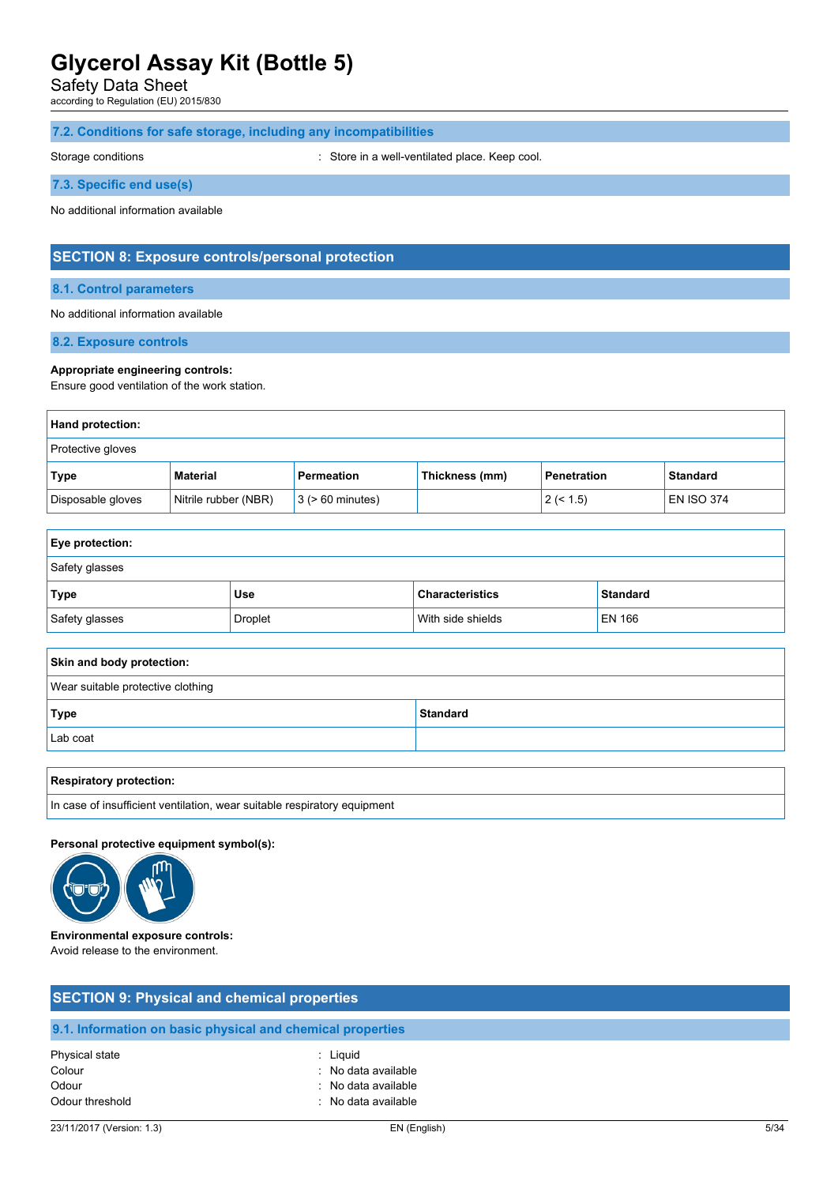Safety Data Sheet

according to Regulation (EU) 2015/830

# **7.2. Conditions for safe storage, including any incompatibilities**

Storage conditions **Storage conditions** : Store in a well-ventilated place. Keep cool.

### **7.3. Specific end use(s)**

No additional information available

# **SECTION 8: Exposure controls/personal protection**

# **8.1. Control parameters**

#### No additional information available

**8.2. Exposure controls**

#### **Appropriate engineering controls:**

Ensure good ventilation of the work station.

| Hand protection:  |                      |                       |                |                    |                   |
|-------------------|----------------------|-----------------------|----------------|--------------------|-------------------|
| Protective gloves |                      |                       |                |                    |                   |
| Type              | Material             | Permeation            | Thickness (mm) | <b>Penetration</b> | <b>Standard</b>   |
| Disposable gloves | Nitrile rubber (NBR) | $3$ ( $> 60$ minutes) |                | 2 (< 1.5)          | <b>EN ISO 374</b> |

| <b>Eye protection:</b> |         |                        |                 |
|------------------------|---------|------------------------|-----------------|
| Safety glasses         |         |                        |                 |
| Type                   | Use     | <b>Characteristics</b> | <b>Standard</b> |
| Safety glasses         | Droplet | With side shields      | EN 166          |

| Skin and body protection:         |                 |  |  |
|-----------------------------------|-----------------|--|--|
| Wear suitable protective clothing |                 |  |  |
| <b>Type</b>                       | <b>Standard</b> |  |  |
| Lab coat                          |                 |  |  |
|                                   |                 |  |  |

#### **Respiratory protection:**

In case of insufficient ventilation, wear suitable respiratory equipment

### **Personal protective equipment symbol(s):**



**Environmental exposure controls:** Avoid release to the environment.

| <b>SECTION 9: Physical and chemical properties</b>   |                                                                               |  |
|------------------------------------------------------|-------------------------------------------------------------------------------|--|
|                                                      | 9.1. Information on basic physical and chemical properties                    |  |
| Physical state<br>Colour<br>Odour<br>Odour threshold | : Liguid<br>: No data available<br>: No data available<br>: No data available |  |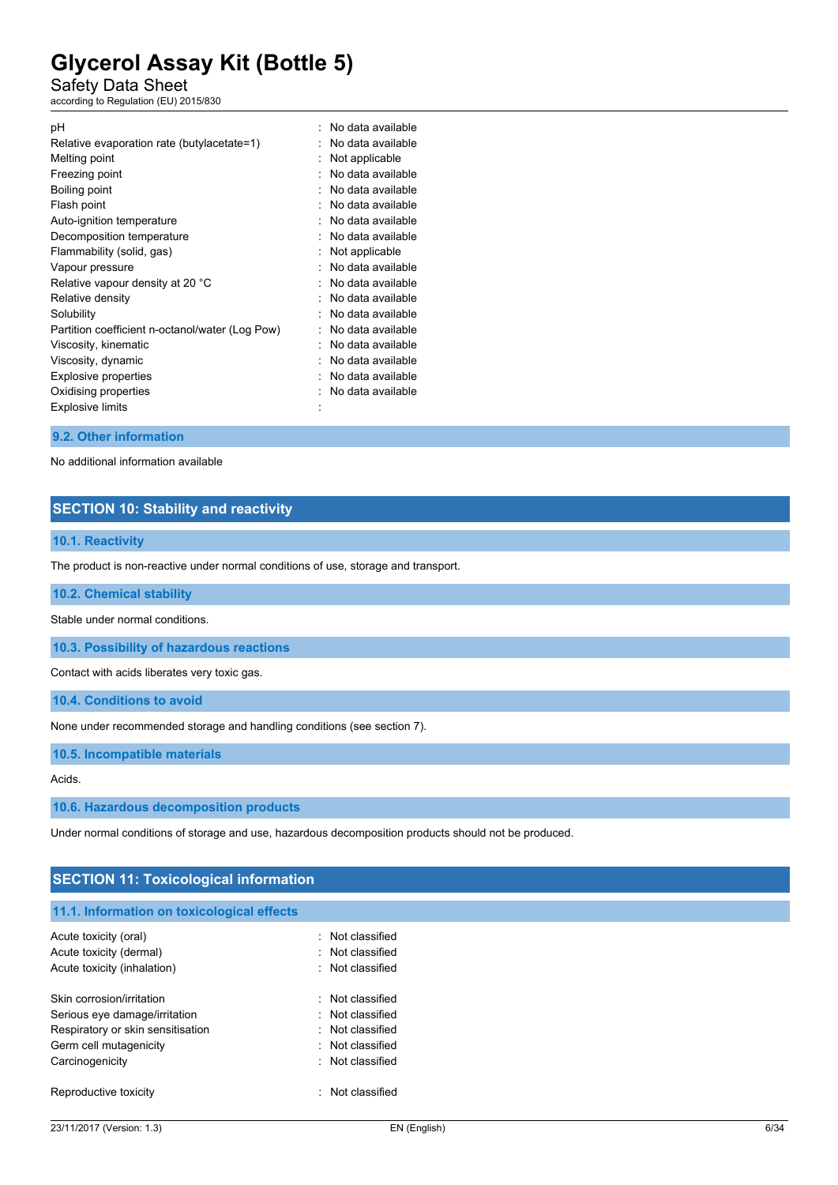Safety Data Sheet

according to Regulation (EU) 2015/830

| рH                                              | No data available |
|-------------------------------------------------|-------------------|
| Relative evaporation rate (butylacetate=1)      | No data available |
| Melting point                                   | Not applicable    |
| Freezing point                                  | No data available |
| Boiling point                                   | No data available |
| Flash point                                     | No data available |
| Auto-ignition temperature                       | No data available |
| Decomposition temperature                       | No data available |
| Flammability (solid, gas)                       | Not applicable    |
| Vapour pressure                                 | No data available |
| Relative vapour density at 20 °C                | No data available |
| Relative density                                | No data available |
| Solubility                                      | No data available |
| Partition coefficient n-octanol/water (Log Pow) | No data available |
| Viscosity, kinematic                            | No data available |
| Viscosity, dynamic                              | No data available |
| <b>Explosive properties</b>                     | No data available |
| Oxidising properties                            | No data available |
| <b>Explosive limits</b>                         |                   |
|                                                 |                   |

### **9.2. Other information**

No additional information available

# **SECTION 10: Stability and reactivity**

#### **10.1. Reactivity**

The product is non-reactive under normal conditions of use, storage and transport.

### **10.2. Chemical stability**

Stable under normal conditions.

**10.3. Possibility of hazardous reactions**

Contact with acids liberates very toxic gas.

**10.4. Conditions to avoid**

None under recommended storage and handling conditions (see section 7).

**10.5. Incompatible materials**

Acids.

**10.6. Hazardous decomposition products**

Under normal conditions of storage and use, hazardous decomposition products should not be produced.

# **SECTION 11: Toxicological information**

#### **11.1. Information on toxicological effects**

| Acute toxicity (oral)<br>Acute toxicity (dermal)<br>Acute toxicity (inhalation)                                                              | : Not classified<br>· Not classified<br>· Not classified                                         |
|----------------------------------------------------------------------------------------------------------------------------------------------|--------------------------------------------------------------------------------------------------|
| Skin corrosion/irritation<br>Serious eye damage/irritation<br>Respiratory or skin sensitisation<br>Germ cell mutagenicity<br>Carcinogenicity | · Not classified<br>· Not classified<br>· Not classified<br>· Not classified<br>· Not classified |
| Reproductive toxicity                                                                                                                        | Not classified                                                                                   |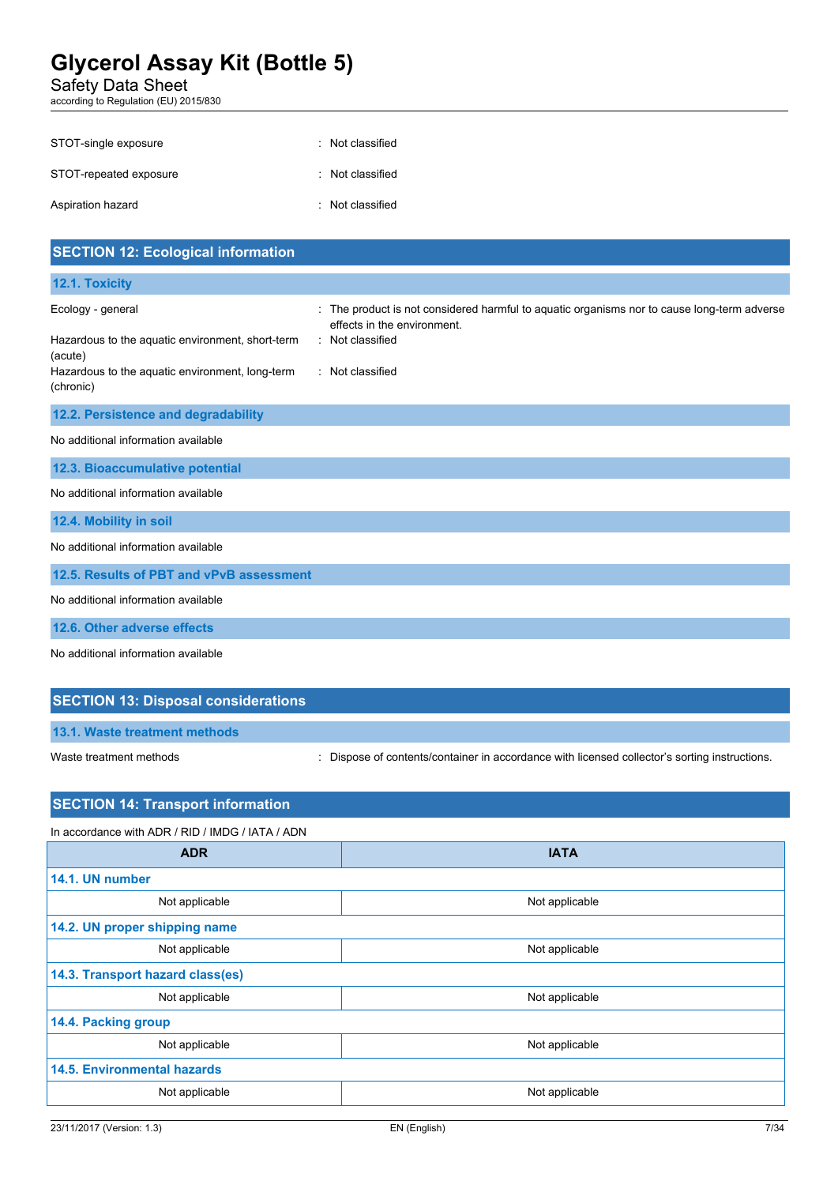Safety Data Sheet

according to Regulation (EU) 2015/830

| STOT-single exposure   | : Not classified |
|------------------------|------------------|
| STOT-repeated exposure | : Not classified |
| Aspiration hazard      | : Not classified |

| <b>SECTION 12: Ecological information</b>                                                                                                        |                                                                                                                                                                  |
|--------------------------------------------------------------------------------------------------------------------------------------------------|------------------------------------------------------------------------------------------------------------------------------------------------------------------|
| 12.1. Toxicity                                                                                                                                   |                                                                                                                                                                  |
| Ecology - general<br>Hazardous to the aquatic environment, short-term<br>(acute)<br>Hazardous to the aquatic environment, long-term<br>(chronic) | The product is not considered harmful to aquatic organisms nor to cause long-term adverse<br>effects in the environment.<br>: Not classified<br>: Not classified |
| 12.2. Persistence and degradability                                                                                                              |                                                                                                                                                                  |
| No additional information available                                                                                                              |                                                                                                                                                                  |
| 12.3. Bioaccumulative potential                                                                                                                  |                                                                                                                                                                  |
| No additional information available                                                                                                              |                                                                                                                                                                  |
| 12.4. Mobility in soil                                                                                                                           |                                                                                                                                                                  |
| No additional information available                                                                                                              |                                                                                                                                                                  |
| 12.5. Results of PBT and vPvB assessment                                                                                                         |                                                                                                                                                                  |
| No additional information available                                                                                                              |                                                                                                                                                                  |
| 12.6. Other adverse effects                                                                                                                      |                                                                                                                                                                  |
| No additional information available                                                                                                              |                                                                                                                                                                  |

# **SECTION 13: Disposal considerations**

**13.1. Waste treatment methods**

Waste treatment methods : Dispose of contents/container in accordance with licensed collector's sorting instructions.

# **SECTION 14: Transport information**

| In accordance with ADR / RID / IMDG / IATA / ADN |                |  |
|--------------------------------------------------|----------------|--|
| <b>ADR</b>                                       | <b>IATA</b>    |  |
| 14.1. UN number                                  |                |  |
| Not applicable                                   | Not applicable |  |
| 14.2. UN proper shipping name                    |                |  |
| Not applicable                                   | Not applicable |  |
| 14.3. Transport hazard class(es)                 |                |  |
| Not applicable                                   | Not applicable |  |
| 14.4. Packing group                              |                |  |
| Not applicable                                   | Not applicable |  |
| <b>14.5. Environmental hazards</b>               |                |  |
| Not applicable                                   | Not applicable |  |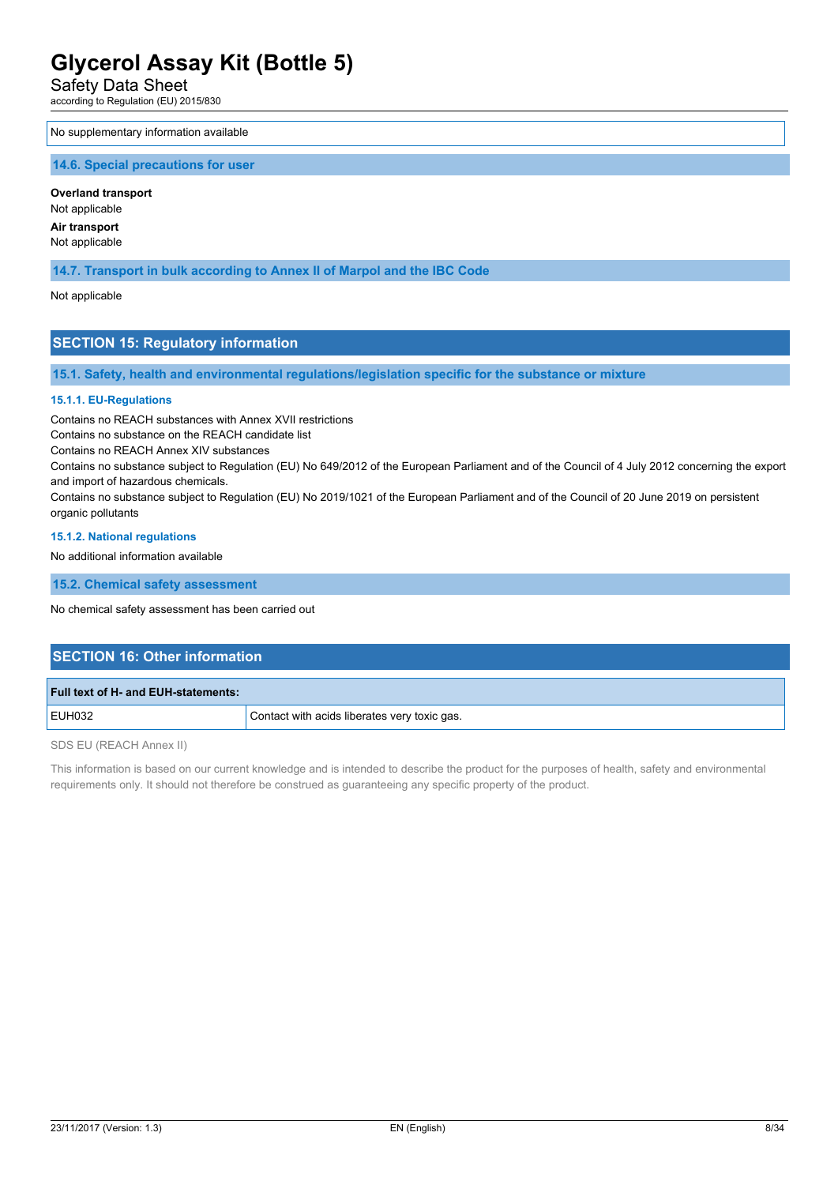Safety Data Sheet

according to Regulation (EU) 2015/830

#### No supplementary information available

#### **14.6. Special precautions for user**

**Overland transport** Not applicable

**Air transport**

Not applicable

**14.7. Transport in bulk according to Annex II of Marpol and the IBC Code**

Not applicable

# **SECTION 15: Regulatory information**

**15.1. Safety, health and environmental regulations/legislation specific for the substance or mixture**

### **15.1.1. EU-Regulations**

Contains no REACH substances with Annex XVII restrictions

Contains no substance on the REACH candidate list

Contains no REACH Annex XIV substances

Contains no substance subject to Regulation (EU) No 649/2012 of the European Parliament and of the Council of 4 July 2012 concerning the export and import of hazardous chemicals.

Contains no substance subject to Regulation (EU) No 2019/1021 of the European Parliament and of the Council of 20 June 2019 on persistent organic pollutants

#### **15.1.2. National regulations**

No additional information available

**15.2. Chemical safety assessment**

No chemical safety assessment has been carried out

# **SECTION 16: Other information**

| Full text of H- and EUH-statements: |                                              |
|-------------------------------------|----------------------------------------------|
| <b>EUH032</b>                       | Contact with acids liberates very toxic gas. |

SDS EU (REACH Annex II)

This information is based on our current knowledge and is intended to describe the product for the purposes of health, safety and environmental requirements only. It should not therefore be construed as guaranteeing any specific property of the product.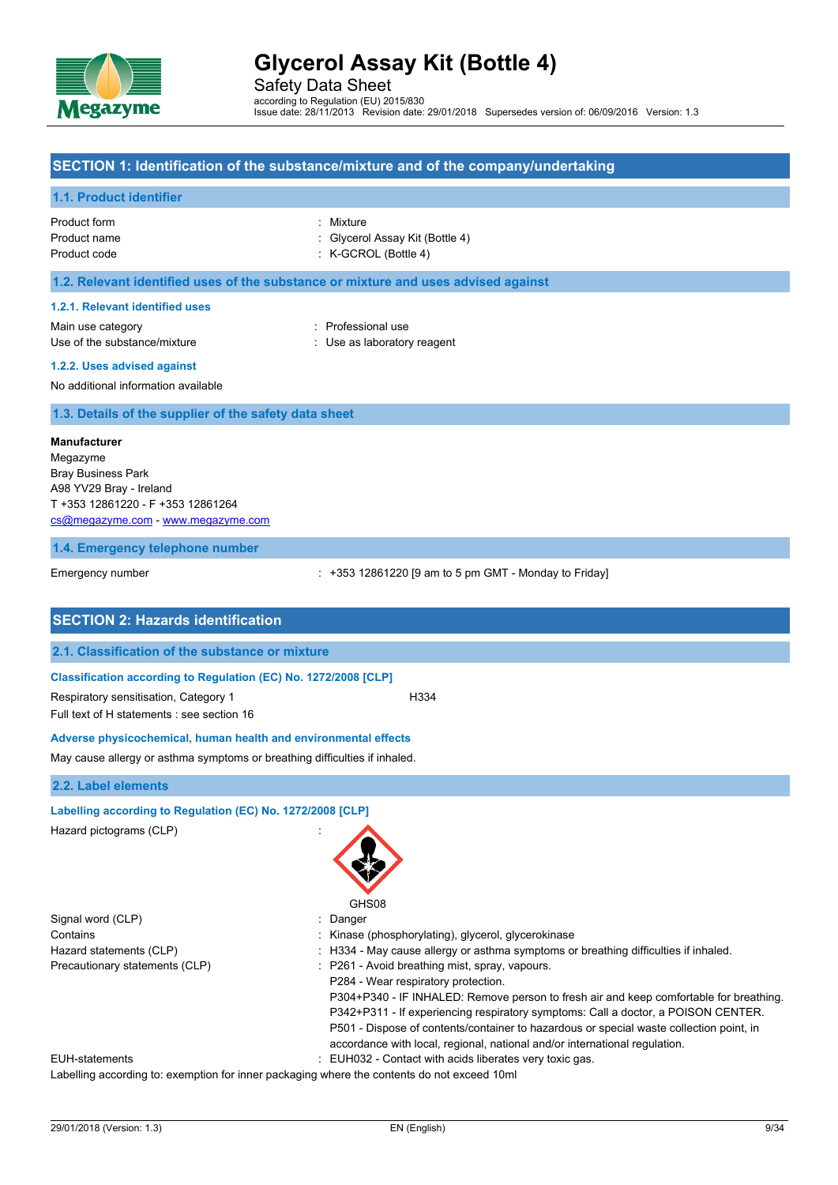

Safety Data Sheet according to Regulation (EU) 2015/830 Issue date: 28/11/2013 Revision date: 29/01/2018 Supersedes version of: 06/09/2016 Version: 1.3

### **SECTION 1: Identification of the substance/mixture and of the company/undertaking**

### **1.1. Product identifier**

| Product form | : Mixture                       |
|--------------|---------------------------------|
| Product name | : Glycerol Assay Kit (Bottle 4) |
| Product code | $:$ K-GCROL (Bottle 4)          |

# **1.2. Relevant identified uses of the substance or mixture and uses advised against**

#### **1.2.1. Relevant identified uses**

Main use category **Example 20** and 20 and 20 and 20 and 20 and 20 and 20 and 20 and 20 and 20 and 20 and 20 and 20 and 20 and 20 and 20 and 20 and 20 and 20 and 20 and 20 and 20 and 20 and 20 and 20 and 20 and 20 and 20 an Use of the substance/mixture in the substance of the substance of the substance in the substance of the substance of the substance of the substance of the substance of the substance of the substance of the substance of the

**1.2.2. Uses advised against**

No additional information available

**1.3. Details of the supplier of the safety data sheet**

#### **Manufacturer**

Megazyme Bray Business Park A98 YV29 Bray - Ireland T +353 12861220 - F +353 12861264 [cs@megazyme.com](mailto:cs@megazyme.com) - <www.megazyme.com>

#### **1.4. Emergency telephone number**

Emergency number **Emergency** number : +353 12861220 [9 am to 5 pm GMT - Monday to Friday]

| <b>SECTION 2: Hazards identification</b>                                            |                                                                                                                                                                                                                                                                                                                                                      |
|-------------------------------------------------------------------------------------|------------------------------------------------------------------------------------------------------------------------------------------------------------------------------------------------------------------------------------------------------------------------------------------------------------------------------------------------------|
| 2.1. Classification of the substance or mixture                                     |                                                                                                                                                                                                                                                                                                                                                      |
| Classification according to Regulation (EC) No. 1272/2008 [CLP]                     |                                                                                                                                                                                                                                                                                                                                                      |
| Respiratory sensitisation, Category 1<br>Full text of H statements : see section 16 | H334                                                                                                                                                                                                                                                                                                                                                 |
| Adverse physicochemical, human health and environmental effects                     |                                                                                                                                                                                                                                                                                                                                                      |
| May cause allergy or asthma symptoms or breathing difficulties if inhaled.          |                                                                                                                                                                                                                                                                                                                                                      |
| 2.2. Label elements                                                                 |                                                                                                                                                                                                                                                                                                                                                      |
| Labelling according to Regulation (EC) No. 1272/2008 [CLP]                          |                                                                                                                                                                                                                                                                                                                                                      |
| Hazard pictograms (CLP)                                                             | GHS08                                                                                                                                                                                                                                                                                                                                                |
| Signal word (CLP)                                                                   | Danger                                                                                                                                                                                                                                                                                                                                               |
| Contains                                                                            | Kinase (phosphorylating), glycerol, glycerokinase                                                                                                                                                                                                                                                                                                    |
| Hazard statements (CLP)                                                             | H334 - May cause allergy or asthma symptoms or breathing difficulties if inhaled.                                                                                                                                                                                                                                                                    |
| Precautionary statements (CLP)                                                      | : P261 - Avoid breathing mist, spray, vapours.<br>P284 - Wear respiratory protection.                                                                                                                                                                                                                                                                |
|                                                                                     | P304+P340 - IF INHALED: Remove person to fresh air and keep comfortable for breathing.<br>P342+P311 - If experiencing respiratory symptoms: Call a doctor, a POISON CENTER.<br>P501 - Dispose of contents/container to hazardous or special waste collection point, in<br>accordance with local, regional, national and/or international regulation. |
| <b>EUH-statements</b>                                                               | : EUH032 - Contact with acids liberates very toxic gas.                                                                                                                                                                                                                                                                                              |
|                                                                                     | Labelling according to: exemption for inner packaging where the contents do not exceed 10ml                                                                                                                                                                                                                                                          |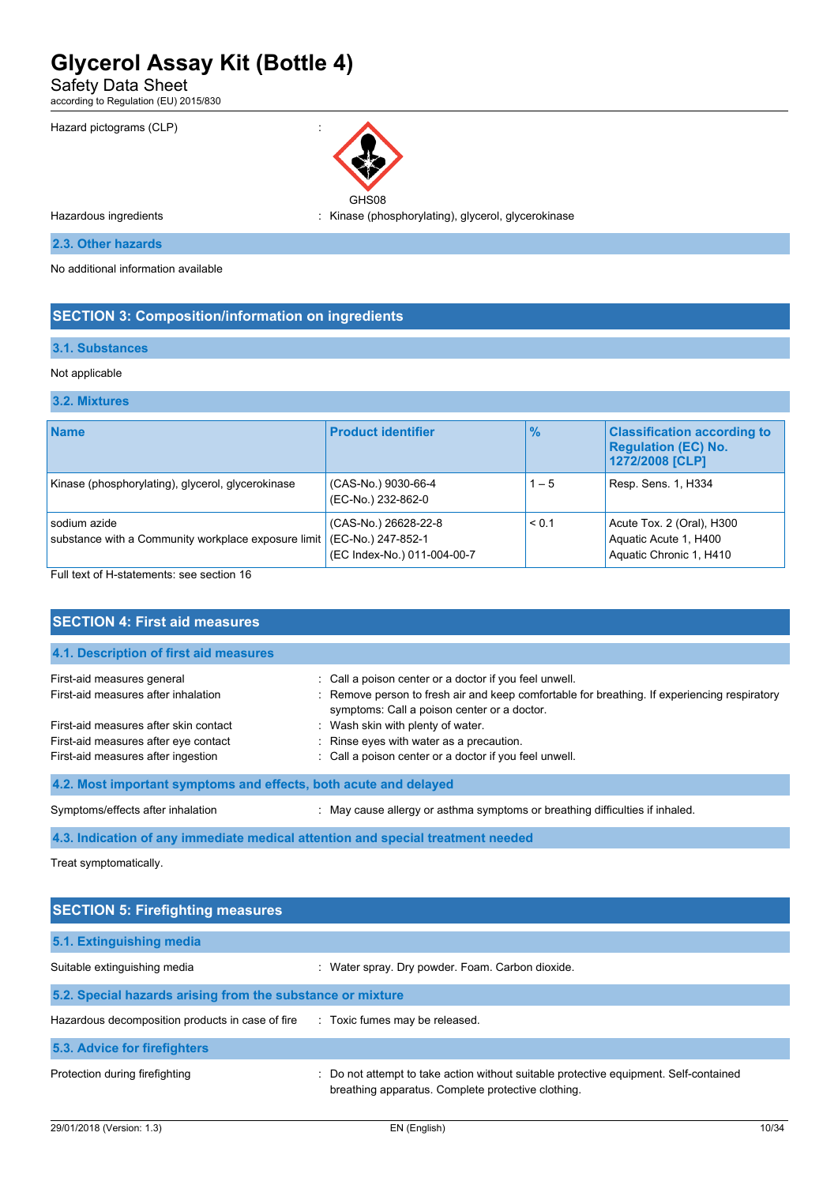Safety Data Sheet

according to Regulation (EU) 2015/830



GHS08 Hazardous ingredients : Kinase (phosphorylating), glycerol, glycerokinase

**2.3. Other hazards**

No additional information available

# **SECTION 3: Composition/information on ingredients**

### **3.1. Substances**

### Not applicable

**3.2. Mixtures**

| <b>Name</b>                                                         | <b>Product identifier</b>                                                 | $\%$    | <b>Classification according to</b><br><b>Regulation (EC) No.</b><br>1272/2008 [CLP] |
|---------------------------------------------------------------------|---------------------------------------------------------------------------|---------|-------------------------------------------------------------------------------------|
| Kinase (phosphorylating), glycerol, glycerokinase                   | (CAS-No.) 9030-66-4<br>(EC-No.) 232-862-0                                 | $1 - 5$ | Resp. Sens. 1, H334                                                                 |
| sodium azide<br>substance with a Community workplace exposure limit | (CAS-No.) 26628-22-8<br>(EC-No.) 247-852-1<br>(EC Index-No.) 011-004-00-7 | < 0.1   | Acute Tox. 2 (Oral), H300<br>Aquatic Acute 1, H400<br>Aquatic Chronic 1, H410       |

Full text of H-statements: see section 16

| <b>SECTION 4: First aid measures</b>                             |                                                                                                                                             |
|------------------------------------------------------------------|---------------------------------------------------------------------------------------------------------------------------------------------|
| 4.1. Description of first aid measures                           |                                                                                                                                             |
| First-aid measures general                                       | : Call a poison center or a doctor if you feel unwell.                                                                                      |
| First-aid measures after inhalation                              | : Remove person to fresh air and keep comfortable for breathing. If experiencing respiratory<br>symptoms: Call a poison center or a doctor. |
| First-aid measures after skin contact                            | : Wash skin with plenty of water.                                                                                                           |
| First-aid measures after eye contact                             | : Rinse eyes with water as a precaution.                                                                                                    |
| First-aid measures after ingestion                               | : Call a poison center or a doctor if you feel unwell.                                                                                      |
| 4.2. Most important symptoms and effects, both acute and delayed |                                                                                                                                             |
| Symptoms/effects after inhalation                                | May cause allergy or asthma symptoms or breathing difficulties if inhaled.                                                                  |

**4.3. Indication of any immediate medical attention and special treatment needed**

Treat symptomatically.

| <b>SECTION 5: Firefighting measures</b>                    |                                                                                                                                             |
|------------------------------------------------------------|---------------------------------------------------------------------------------------------------------------------------------------------|
| 5.1. Extinguishing media                                   |                                                                                                                                             |
| Suitable extinguishing media                               | : Water spray. Dry powder. Foam. Carbon dioxide.                                                                                            |
| 5.2. Special hazards arising from the substance or mixture |                                                                                                                                             |
| Hazardous decomposition products in case of fire           | : Toxic fumes may be released.                                                                                                              |
| 5.3. Advice for firefighters                               |                                                                                                                                             |
| Protection during firefighting                             | : Do not attempt to take action without suitable protective equipment. Self-contained<br>breathing apparatus. Complete protective clothing. |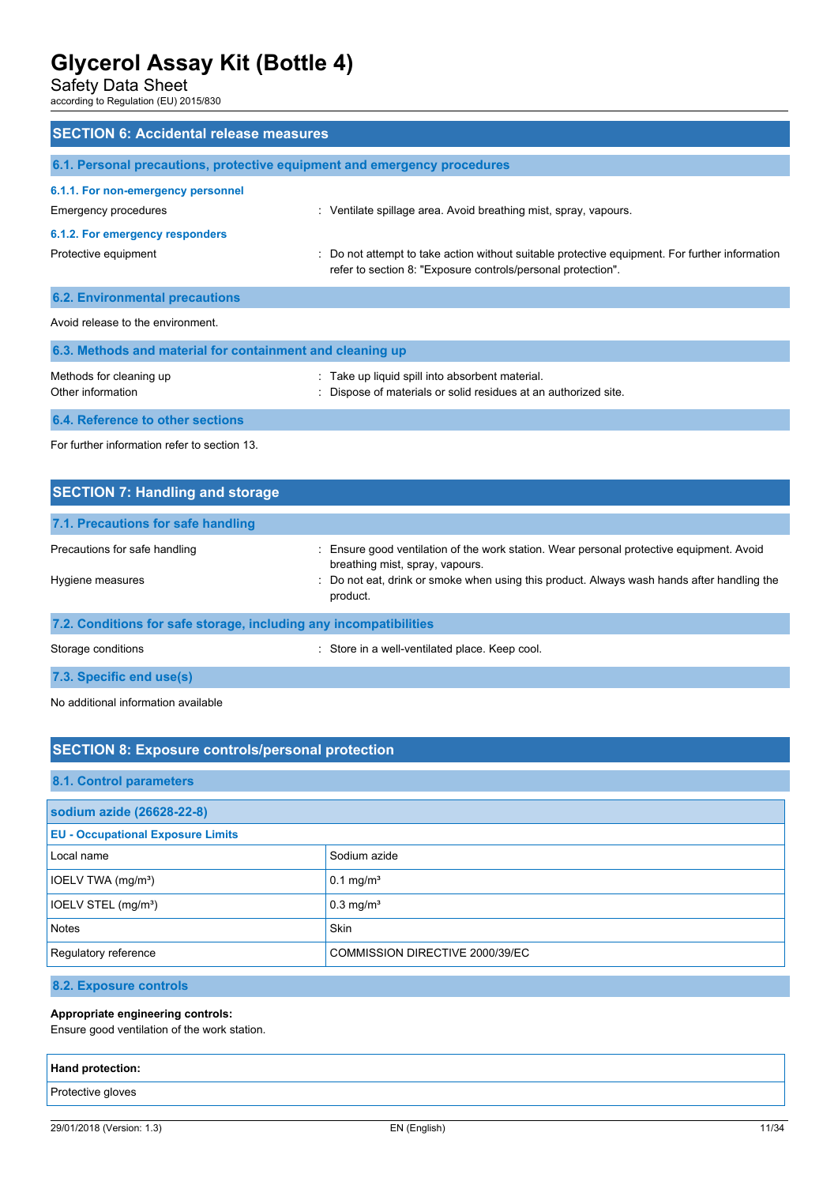Safety Data Sheet

according to Regulation (EU) 2015/830

| <b>SECTION 6: Accidental release measures</b>             |                                                                                                                                                                |
|-----------------------------------------------------------|----------------------------------------------------------------------------------------------------------------------------------------------------------------|
|                                                           | 6.1. Personal precautions, protective equipment and emergency procedures                                                                                       |
| 6.1.1. For non-emergency personnel                        |                                                                                                                                                                |
| Emergency procedures                                      | : Ventilate spillage area. Avoid breathing mist, spray, vapours.                                                                                               |
| 6.1.2. For emergency responders                           |                                                                                                                                                                |
| Protective equipment                                      | : Do not attempt to take action without suitable protective equipment. For further information<br>refer to section 8: "Exposure controls/personal protection". |
| <b>6.2. Environmental precautions</b>                     |                                                                                                                                                                |
| Avoid release to the environment.                         |                                                                                                                                                                |
| 6.3. Methods and material for containment and cleaning up |                                                                                                                                                                |
| Methods for cleaning up<br>Other information              | : Take up liquid spill into absorbent material.<br>: Dispose of materials or solid residues at an authorized site.                                             |
| 6.4. Reference to other sections                          |                                                                                                                                                                |

For further information refer to section 13.

| <b>SECTION 7: Handling and storage</b>                            |                                                                                                                                                                                                                                       |
|-------------------------------------------------------------------|---------------------------------------------------------------------------------------------------------------------------------------------------------------------------------------------------------------------------------------|
| 7.1. Precautions for safe handling                                |                                                                                                                                                                                                                                       |
| Precautions for safe handling<br>Hygiene measures                 | : Ensure good ventilation of the work station. Wear personal protective equipment. Avoid<br>breathing mist, spray, vapours.<br>: Do not eat, drink or smoke when using this product. Always wash hands after handling the<br>product. |
| 7.2. Conditions for safe storage, including any incompatibilities |                                                                                                                                                                                                                                       |
| Storage conditions                                                | : Store in a well-ventilated place. Keep cool.                                                                                                                                                                                        |
| 7.3. Specific end use(s)                                          |                                                                                                                                                                                                                                       |

No additional information available

# **SECTION 8: Exposure controls/personal protection**

# **8.1. Control parameters**

| sodium azide (26628-22-8)                |                                 |  |
|------------------------------------------|---------------------------------|--|
| <b>EU - Occupational Exposure Limits</b> |                                 |  |
| Local name                               | Sodium azide                    |  |
| IOELV TWA (mg/m <sup>3</sup> )           | $0.1 \text{ mg/m}^3$            |  |
| IOELV STEL (mg/m <sup>3</sup> )          | $0.3$ mg/m <sup>3</sup>         |  |
| Notes                                    | Skin                            |  |
| Regulatory reference                     | COMMISSION DIRECTIVE 2000/39/EC |  |

**8.2. Exposure controls**

# **Appropriate engineering controls:**

Ensure good ventilation of the work station.

| Hand protection:  |  |
|-------------------|--|
| Protective gloves |  |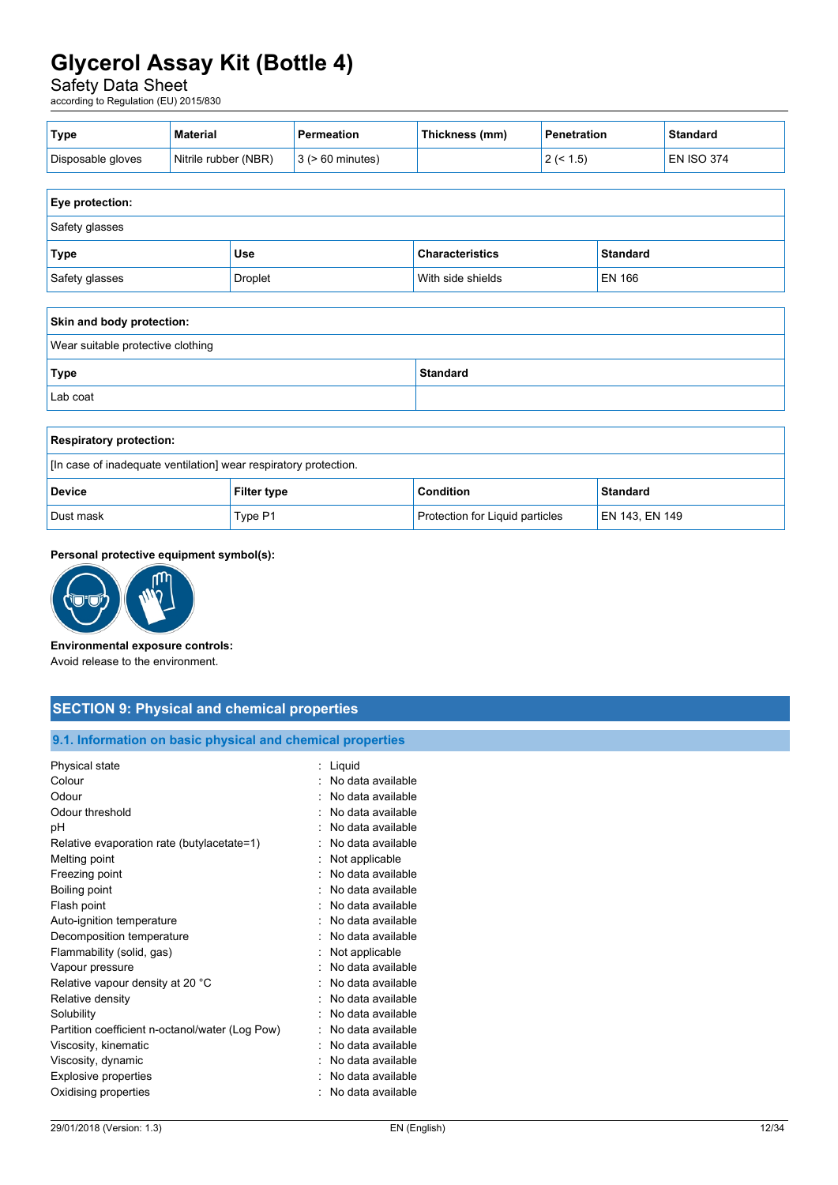# Safety Data Sheet

according to Regulation (EU) 2015/830

| ˈType             | <b>Material</b>      | <b>Permeation</b>               | Thickness (mm) | Penetration             | <b>Standard</b>   |
|-------------------|----------------------|---------------------------------|----------------|-------------------------|-------------------|
| Disposable gloves | Nitrile rubber (NBR) | $\vert$ 3 ( $\vert$ 60 minutes) |                | $1.5^\circ$<br><u>.</u> | <b>EN ISO 374</b> |

| <b>Eye protection:</b> |                |                        |                 |
|------------------------|----------------|------------------------|-----------------|
| Safety glasses         |                |                        |                 |
| Type <sup></sup>       | <b>Use</b>     | <b>Characteristics</b> | <b>Standard</b> |
| Safety glasses         | <b>Droplet</b> | With side shields      | EN 166          |

| Skin and body protection:         |                 |  |
|-----------------------------------|-----------------|--|
| Wear suitable protective clothing |                 |  |
| Type                              | <b>Standard</b> |  |
| Lab coat                          |                 |  |

| <b>Respiratory protection:</b>                                   |                    |                                 |                 |
|------------------------------------------------------------------|--------------------|---------------------------------|-----------------|
| [In case of inadequate ventilation] wear respiratory protection. |                    |                                 |                 |
| <b>Device</b>                                                    | <b>Filter type</b> | <b>Condition</b>                | <b>Standard</b> |
| Dust mask                                                        | Type P1            | Protection for Liquid particles | EN 143. EN 149  |

# **Personal protective equipment symbol(s):**



# **Environmental exposure controls:**

Avoid release to the environment.

| <b>SECTION 9: Physical and chemical properties</b>         |                     |  |  |
|------------------------------------------------------------|---------------------|--|--|
| 9.1. Information on basic physical and chemical properties |                     |  |  |
| Physical state                                             | : Liquid            |  |  |
| Colour                                                     | : No data available |  |  |
| Odour                                                      | : No data available |  |  |
| Odour threshold                                            | : No data available |  |  |
| рH                                                         | : No data available |  |  |
| Relative evaporation rate (butylacetate=1)                 | : No data available |  |  |
| Melting point                                              | : Not applicable    |  |  |
| Freezing point                                             | : No data available |  |  |
| Boiling point                                              | : No data available |  |  |
| Flash point                                                | : No data available |  |  |
| Auto-ignition temperature                                  | No data available   |  |  |
| Decomposition temperature                                  | : No data available |  |  |
| Flammability (solid, gas)                                  | Not applicable      |  |  |
| Vapour pressure                                            | : No data available |  |  |
| Relative vapour density at 20 °C                           | : No data available |  |  |
| Relative density                                           | : No data available |  |  |
| Solubility                                                 | No data available   |  |  |
| Partition coefficient n-octanol/water (Log Pow)            | : No data available |  |  |
| Viscosity, kinematic                                       | : No data available |  |  |
| Viscosity, dynamic                                         | No data available   |  |  |
| <b>Explosive properties</b>                                | : No data available |  |  |

Oxidising properties **in the contract of the Contract August** 2012 : No data available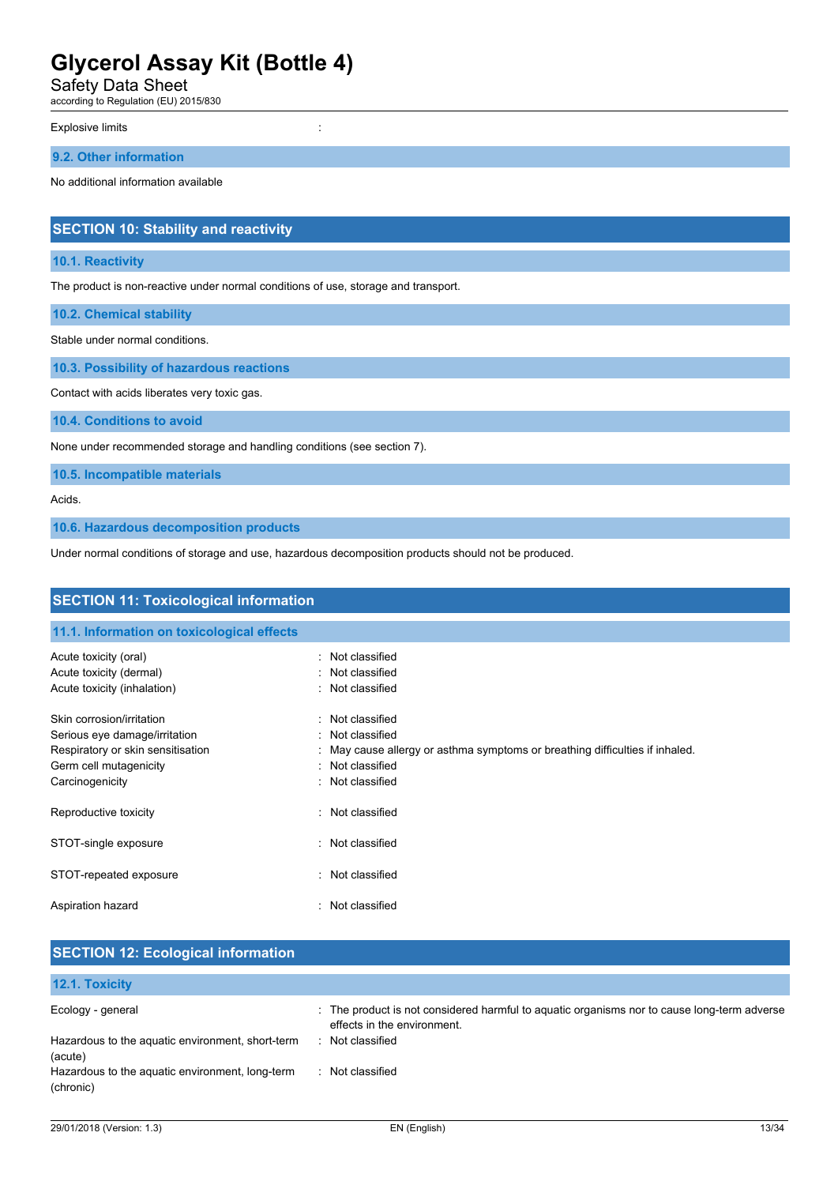Safety Data Sheet

according to Regulation (EU) 2015/830

#### Explosive limits in the state of the state of the state of the state of the state of the state of the state of the state of the state of the state of the state of the state of the state of the state of the state of the sta

### **9.2. Other information**

No additional information available

# **SECTION 10: Stability and reactivity**

# **10.1. Reactivity**

The product is non-reactive under normal conditions of use, storage and transport.

**10.2. Chemical stability**

Stable under normal conditions.

**10.3. Possibility of hazardous reactions**

Contact with acids liberates very toxic gas.

**10.4. Conditions to avoid**

None under recommended storage and handling conditions (see section 7).

**10.5. Incompatible materials**

Acids.

**10.6. Hazardous decomposition products**

Under normal conditions of storage and use, hazardous decomposition products should not be produced.

| <b>SECTION 11: Toxicological information</b>                                                                                                 |                                                                                                                                                                |  |  |
|----------------------------------------------------------------------------------------------------------------------------------------------|----------------------------------------------------------------------------------------------------------------------------------------------------------------|--|--|
| 11.1. Information on toxicological effects                                                                                                   |                                                                                                                                                                |  |  |
| Acute toxicity (oral)<br>Acute toxicity (dermal)<br>Acute toxicity (inhalation)                                                              | Not classified<br>Not classified<br>Not classified                                                                                                             |  |  |
| Skin corrosion/irritation<br>Serious eye damage/irritation<br>Respiratory or skin sensitisation<br>Germ cell mutagenicity<br>Carcinogenicity | Not classified<br>۰.<br>Not classified<br>May cause allergy or asthma symptoms or breathing difficulties if inhaled.<br>Not classified<br>۰.<br>Not classified |  |  |
| Reproductive toxicity                                                                                                                        | : Not classified                                                                                                                                               |  |  |
| STOT-single exposure                                                                                                                         | Not classified                                                                                                                                                 |  |  |
| STOT-repeated exposure                                                                                                                       | Not classified<br>٠.                                                                                                                                           |  |  |
| Aspiration hazard                                                                                                                            | Not classified                                                                                                                                                 |  |  |

| <b>SECTION 12: Ecological information</b>                    |                                                                                                                            |  |
|--------------------------------------------------------------|----------------------------------------------------------------------------------------------------------------------------|--|
| 12.1. Toxicity                                               |                                                                                                                            |  |
| Ecology - general                                            | : The product is not considered harmful to aquatic organisms nor to cause long-term adverse<br>effects in the environment. |  |
| Hazardous to the aquatic environment, short-term<br>(acute)  | Not classified                                                                                                             |  |
| Hazardous to the aquatic environment, long-term<br>(chronic) | Not classified                                                                                                             |  |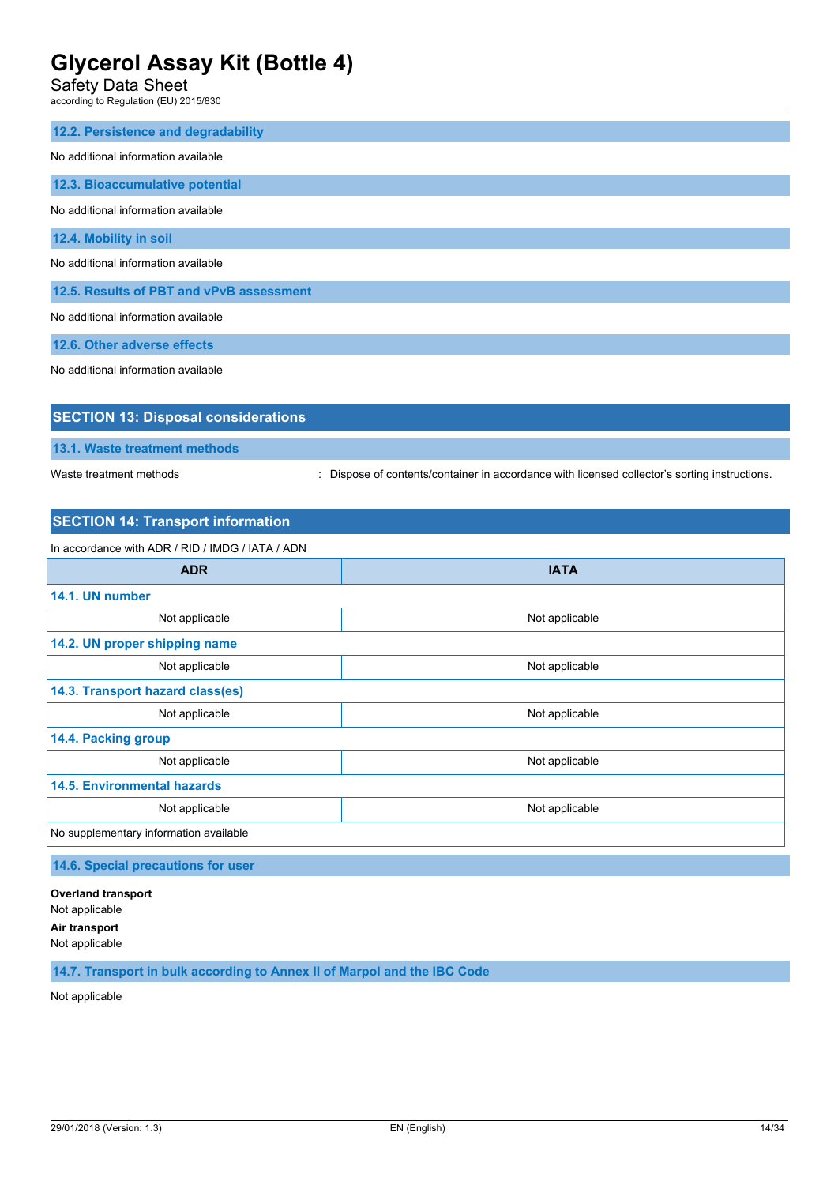Safety Data Sheet

according to Regulation (EU) 2015/830

| 12.2. Persistence and degradability      |
|------------------------------------------|
| No additional information available      |
| 12.3. Bioaccumulative potential          |
| No additional information available      |
| 12.4. Mobility in soil                   |
| No additional information available      |
| 12.5. Results of PBT and vPvB assessment |
| No additional information available      |
| 12.6. Other adverse effects              |
| No additional information available      |
|                                          |

| <b>SECTION 13: Disposal considerations</b> |                                                                                               |
|--------------------------------------------|-----------------------------------------------------------------------------------------------|
| 13.1. Waste treatment methods              |                                                                                               |
| Waste treatment methods                    | : Dispose of contents/container in accordance with licensed collector's sorting instructions. |

# **SECTION 14: Transport information**

| In accordance with ADR / RID / IMDG / IATA / ADN |                |  |  |  |
|--------------------------------------------------|----------------|--|--|--|
| <b>ADR</b>                                       | <b>IATA</b>    |  |  |  |
| 14.1. UN number                                  |                |  |  |  |
| Not applicable                                   | Not applicable |  |  |  |
| 14.2. UN proper shipping name                    |                |  |  |  |
| Not applicable<br>Not applicable                 |                |  |  |  |
| 14.3. Transport hazard class(es)                 |                |  |  |  |
| Not applicable                                   | Not applicable |  |  |  |
| 14.4. Packing group                              |                |  |  |  |
| Not applicable                                   | Not applicable |  |  |  |
| <b>14.5. Environmental hazards</b>               |                |  |  |  |
| Not applicable<br>Not applicable                 |                |  |  |  |
| No supplementary information available           |                |  |  |  |

**14.6. Special precautions for user**

**Overland transport** Not applicable **Air transport** Not applicable

**14.7. Transport in bulk according to Annex II of Marpol and the IBC Code**

Not applicable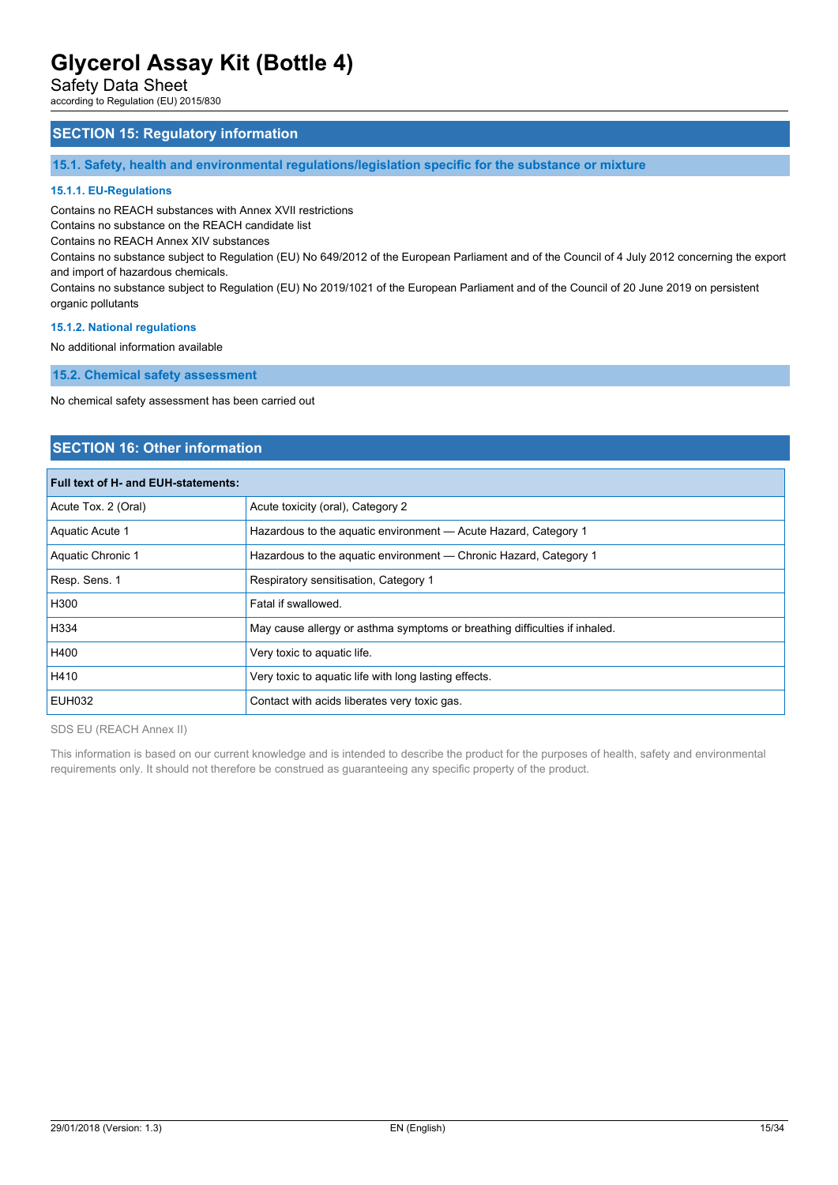Safety Data Sheet

according to Regulation (EU) 2015/830

# **SECTION 15: Regulatory information**

**15.1. Safety, health and environmental regulations/legislation specific for the substance or mixture**

#### **15.1.1. EU-Regulations**

Contains no REACH substances with Annex XVII restrictions

Contains no substance on the REACH candidate list

Contains no REACH Annex XIV substances

Contains no substance subject to Regulation (EU) No 649/2012 of the European Parliament and of the Council of 4 July 2012 concerning the export and import of hazardous chemicals.

Contains no substance subject to Regulation (EU) No 2019/1021 of the European Parliament and of the Council of 20 June 2019 on persistent organic pollutants

#### **15.1.2. National regulations**

No additional information available

**15.2. Chemical safety assessment**

No chemical safety assessment has been carried out

# **SECTION 16: Other information**

# **Full text of H- and EUH-statements:**

| Acute Tox. 2 (Oral) | Acute toxicity (oral), Category 2                                          |
|---------------------|----------------------------------------------------------------------------|
| Aquatic Acute 1     | Hazardous to the aguatic environment - Acute Hazard, Category 1            |
| Aquatic Chronic 1   | Hazardous to the aquatic environment - Chronic Hazard, Category 1          |
| Resp. Sens. 1       | Respiratory sensitisation, Category 1                                      |
| H300                | Fatal if swallowed.                                                        |
| H334                | May cause allergy or asthma symptoms or breathing difficulties if inhaled. |
| H400                | Very toxic to aquatic life.                                                |
| H410                | Very toxic to aquatic life with long lasting effects.                      |
| EUH032              | Contact with acids liberates very toxic gas.                               |
|                     |                                                                            |

SDS EU (REACH Annex II)

This information is based on our current knowledge and is intended to describe the product for the purposes of health, safety and environmental requirements only. It should not therefore be construed as guaranteeing any specific property of the product.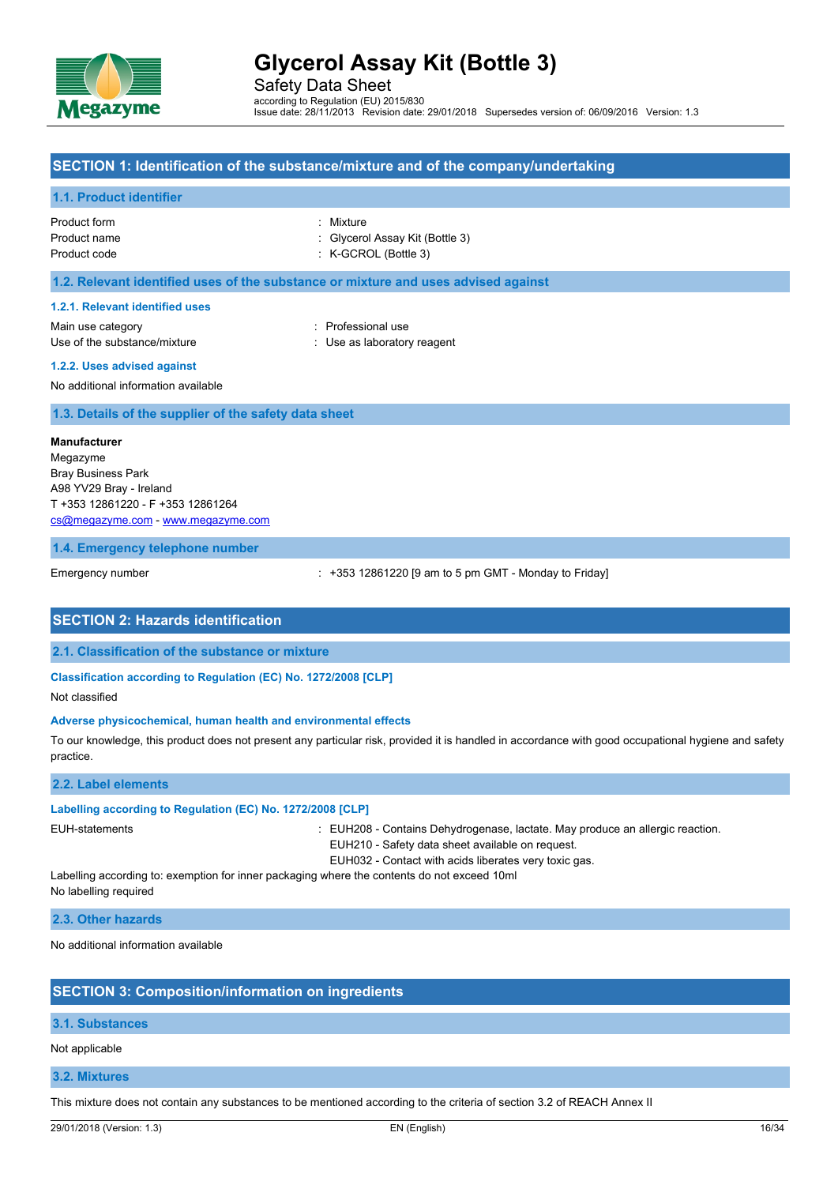

Safety Data Sheet according to Regulation (EU) 2015/830 Issue date: 28/11/2013 Revision date: 29/01/2018 Supersedes version of: 06/09/2016 Version: 1.3

### **SECTION 1: Identification of the substance/mixture and of the company/undertaking**

#### **1.1. Product identifier**

| Product form | : Mixture                       |
|--------------|---------------------------------|
| Product name | : Givcerol Assay Kit (Bottle 3) |
| Product code | $:$ K-GCROL (Bottle 3)          |

#### **1.2. Relevant identified uses of the substance or mixture and uses advised against**

#### **1.2.1. Relevant identified uses**

Main use category **Example 20** and the Professional use Use of the substance/mixture  $\qquad \qquad : \qquad$  Use as laboratory reagent

**1.2.2. Uses advised against**

No additional information available

**1.3. Details of the supplier of the safety data sheet**

#### **Manufacturer**

Megazyme Bray Business Park A98 YV29 Bray - Ireland T +353 12861220 - F +353 12861264 [cs@megazyme.com](mailto:cs@megazyme.com) - <www.megazyme.com>

#### **1.4. Emergency telephone number**

Emergency number **Emergency** number  $: +353\frac{12861220}{9}$  am to 5 pm GMT - Monday to Friday]

# **SECTION 2: Hazards identification**

**2.1. Classification of the substance or mixture**

#### **Classification according to Regulation (EC) No. 1272/2008 [CLP]**

Not classified

#### **Adverse physicochemical, human health and environmental effects**

To our knowledge, this product does not present any particular risk, provided it is handled in accordance with good occupational hygiene and safety practice.

#### **2.2. Label elements**

#### **Labelling according to Regulation (EC) No. 1272/2008 [CLP]**

EUH-statements **in the statements** : EUH208 - Contains Dehydrogenase, lactate. May produce an allergic reaction.

- EUH210 Safety data sheet available on request.
- EUH032 Contact with acids liberates very toxic gas.

Labelling according to: exemption for inner packaging where the contents do not exceed 10ml No labelling required

**2.3. Other hazards**

No additional information available

### **SECTION 3: Composition/information on ingredients**

# **3.1. Substances**

Not applicable

### **3.2. Mixtures**

This mixture does not contain any substances to be mentioned according to the criteria of section 3.2 of REACH Annex II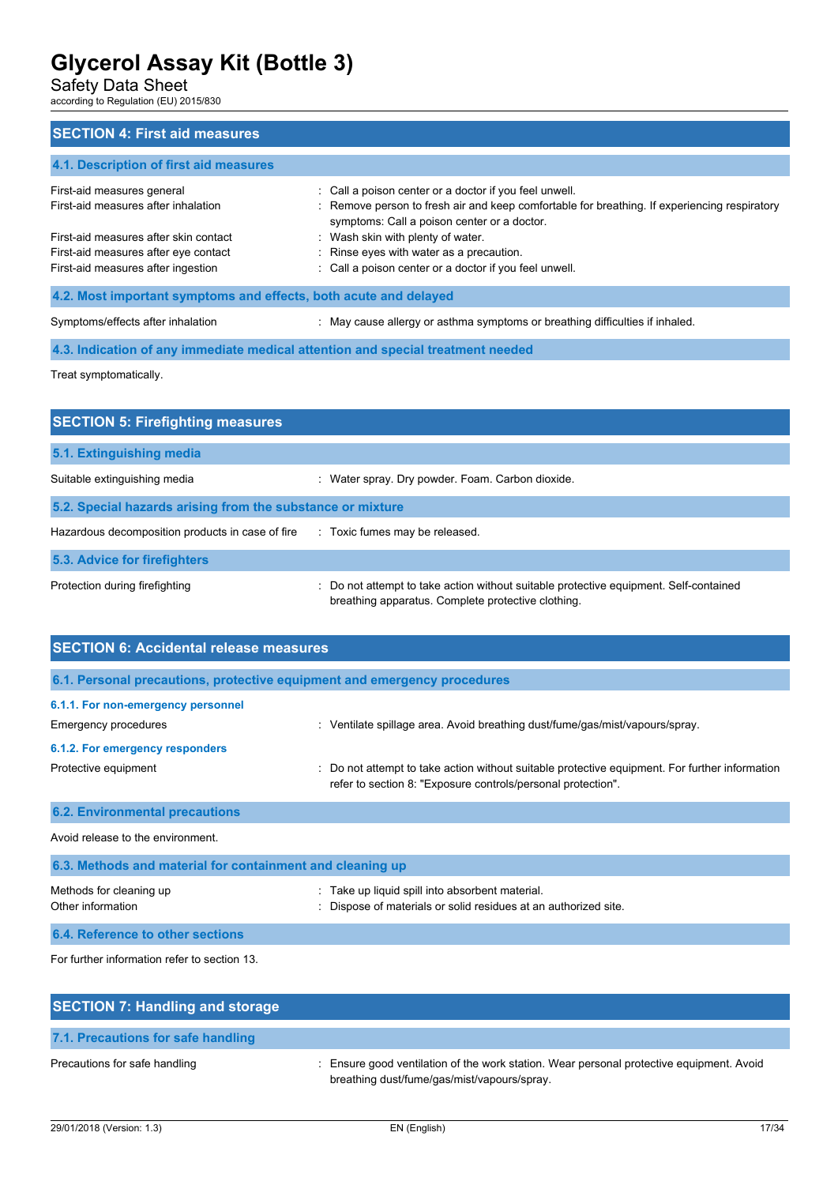Safety Data Sheet

according to Regulation (EU) 2015/830

# **SECTION 4: First aid measures**

# **4.1. Description of first aid measures** First-aid measures general interest in the set of a goison center or a doctor if you feel unwell. First-aid measures after inhalation : Remove person to fresh air and keep comfortable for breathing. If experiencing respiratory symptoms: Call a poison center or a doctor. First-aid measures after skin contact : Wash skin with plenty of water. First-aid measures after eye contact : Rinse eyes with water as a precaution. First-aid measures after ingestion : Call a poison center or a doctor if you feel unwell. **4.2. Most important symptoms and effects, both acute and delayed** Symptoms/effects after inhalation : May cause allergy or asthma symptoms or breathing difficulties if inhaled.

**4.3. Indication of any immediate medical attention and special treatment needed**

Treat symptomatically.

| <b>SECTION 5: Firefighting measures</b>                    |                                                                                                                                             |  |  |  |
|------------------------------------------------------------|---------------------------------------------------------------------------------------------------------------------------------------------|--|--|--|
| 5.1. Extinguishing media                                   |                                                                                                                                             |  |  |  |
| Suitable extinguishing media                               | Water spray. Dry powder. Foam. Carbon dioxide.                                                                                              |  |  |  |
| 5.2. Special hazards arising from the substance or mixture |                                                                                                                                             |  |  |  |
| Hazardous decomposition products in case of fire           | : Toxic fumes may be released.                                                                                                              |  |  |  |
| 5.3. Advice for firefighters                               |                                                                                                                                             |  |  |  |
| Protection during firefighting                             | : Do not attempt to take action without suitable protective equipment. Self-contained<br>breathing apparatus. Complete protective clothing. |  |  |  |

| <b>SECTION 6: Accidental release measures</b>                            |                                                                                                                                                              |  |  |  |
|--------------------------------------------------------------------------|--------------------------------------------------------------------------------------------------------------------------------------------------------------|--|--|--|
| 6.1. Personal precautions, protective equipment and emergency procedures |                                                                                                                                                              |  |  |  |
| 6.1.1. For non-emergency personnel<br>Emergency procedures               | Ventilate spillage area. Avoid breathing dust/fume/gas/mist/vapours/spray.                                                                                   |  |  |  |
| 6.1.2. For emergency responders                                          |                                                                                                                                                              |  |  |  |
| Protective equipment                                                     | Do not attempt to take action without suitable protective equipment. For further information<br>refer to section 8: "Exposure controls/personal protection". |  |  |  |
| <b>6.2. Environmental precautions</b>                                    |                                                                                                                                                              |  |  |  |
| Avoid release to the environment.                                        |                                                                                                                                                              |  |  |  |
| 6.3. Methods and material for containment and cleaning up                |                                                                                                                                                              |  |  |  |
| Methods for cleaning up<br>Other information                             | Take up liquid spill into absorbent material.<br>Dispose of materials or solid residues at an authorized site.                                               |  |  |  |
| 6.4. Reference to other sections                                         |                                                                                                                                                              |  |  |  |
| For further information refer to section 13.                             |                                                                                                                                                              |  |  |  |

| <b>SECTION 7: Handling and storage</b> |                                                                                                                                         |
|----------------------------------------|-----------------------------------------------------------------------------------------------------------------------------------------|
| 7.1. Precautions for safe handling     |                                                                                                                                         |
| Precautions for safe handling          | : Ensure good ventilation of the work station. Wear personal protective equipment. Avoid<br>breathing dust/fume/gas/mist/vapours/spray. |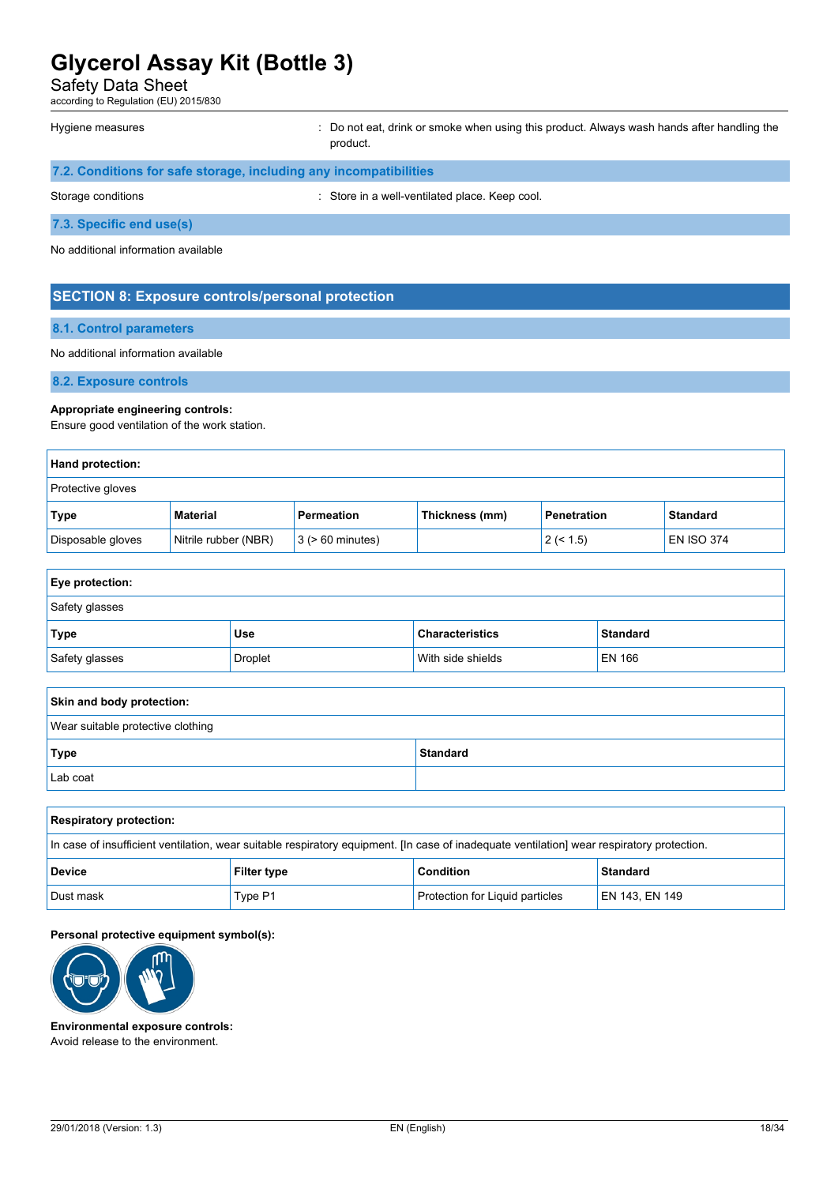Safety Data Sheet

according to Regulation (EU) 2015/830

| Hygiene measures |  | : Do not eat, drink |
|------------------|--|---------------------|
|------------------|--|---------------------|

or smoke when using this product. Always wash hands after handling the product.

| 7.2. Conditions for safe storage, including any incompatibilities |                                                |  |  |
|-------------------------------------------------------------------|------------------------------------------------|--|--|
| Storage conditions                                                | : Store in a well-ventilated place. Keep cool. |  |  |

**7.3. Specific end use(s)**

No additional information available

# **SECTION 8: Exposure controls/personal protection**

### **8.1. Control parameters**

#### No additional information available

**8.2. Exposure controls**

#### **Appropriate engineering controls:**

Ensure good ventilation of the work station.

| <b>Hand protection:</b> |                      |                       |                |                    |                   |
|-------------------------|----------------------|-----------------------|----------------|--------------------|-------------------|
| Protective gloves       |                      |                       |                |                    |                   |
| Type                    | Material             | Permeation            | Thickness (mm) | <b>Penetration</b> | <b>Standard</b>   |
| Disposable gloves       | Nitrile rubber (NBR) | $3$ ( $> 60$ minutes) |                | 2 (< 1.5)          | <b>EN ISO 374</b> |

| <b>Eye protection:</b> |                |                        |                 |  |
|------------------------|----------------|------------------------|-----------------|--|
| Safety glasses         |                |                        |                 |  |
| Type                   | Use            | <b>Characteristics</b> | <b>Standard</b> |  |
| Safety glasses         | <b>Droplet</b> | With side shields      | EN 166          |  |

| Skin and body protection:         |  |  |  |  |
|-----------------------------------|--|--|--|--|
| Wear suitable protective clothing |  |  |  |  |
|                                   |  |  |  |  |
| Lab coat                          |  |  |  |  |
|                                   |  |  |  |  |

| <b>Respiratory protection:</b>                                                                                                             |         |                                 |                |  |  |
|--------------------------------------------------------------------------------------------------------------------------------------------|---------|---------------------------------|----------------|--|--|
| In case of insufficient ventilation, wear suitable respiratory equipment. [In case of inadequate ventilation] wear respiratory protection. |         |                                 |                |  |  |
| <b>Condition</b><br><b>Standard</b><br><b>Device</b><br><b>Filter type</b>                                                                 |         |                                 |                |  |  |
| Dust mask                                                                                                                                  | Type P1 | Protection for Liquid particles | EN 143, EN 149 |  |  |

### **Personal protective equipment symbol(s):**



**Environmental exposure controls:** Avoid release to the environment.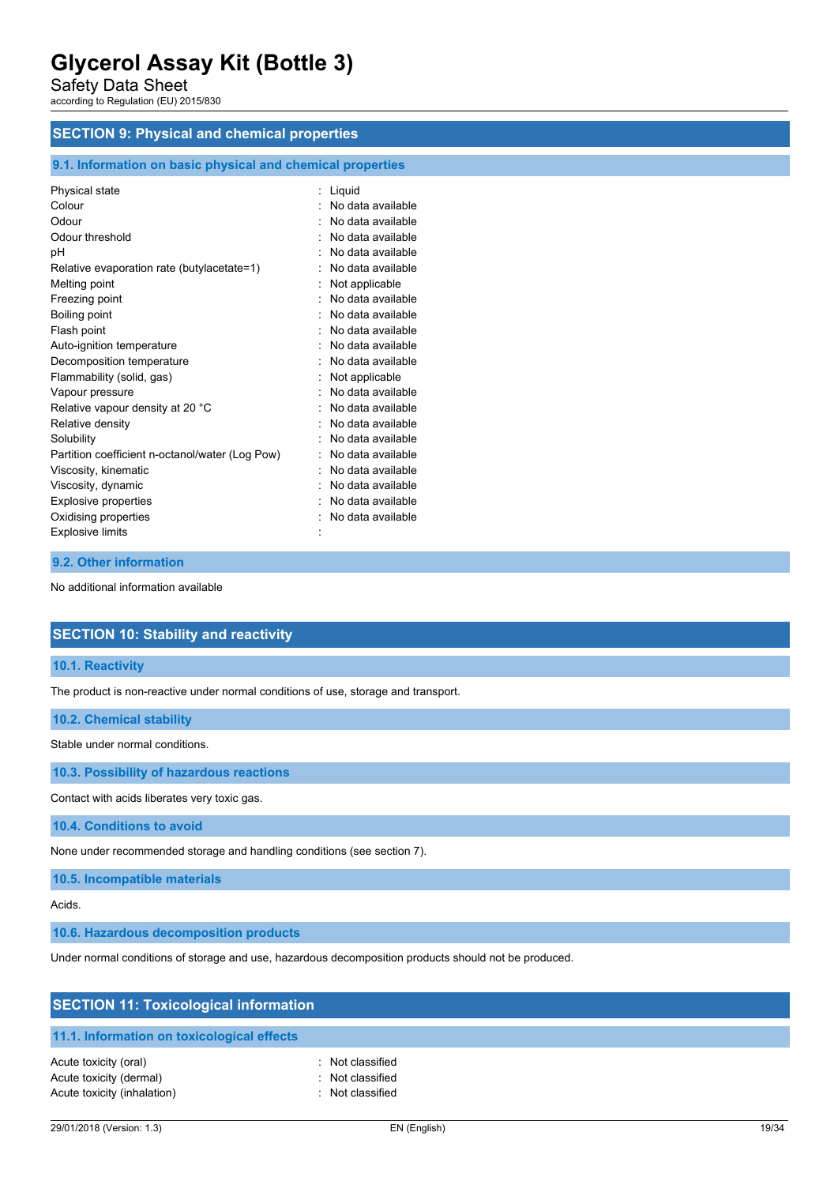Safety Data Sheet

according to Regulation (EU) 2015/830

# **SECTION 9: Physical and chemical properties**

# **9.1. Information on basic physical and chemical properties**

| Physical state                                  | Liquid            |
|-------------------------------------------------|-------------------|
| Colour                                          | No data available |
| Odour                                           | No data available |
| Odour threshold                                 | No data available |
| рH                                              | No data available |
| Relative evaporation rate (butylacetate=1)      | No data available |
| Melting point                                   | Not applicable    |
| Freezing point                                  | No data available |
| Boiling point                                   | No data available |
| Flash point                                     | No data available |
| Auto-ignition temperature                       | No data available |
| Decomposition temperature                       | No data available |
| Flammability (solid, gas)                       | Not applicable    |
| Vapour pressure                                 | No data available |
| Relative vapour density at 20 °C                | No data available |
| Relative density                                | No data available |
| Solubility                                      | No data available |
| Partition coefficient n-octanol/water (Log Pow) | No data available |
| Viscosity, kinematic                            | No data available |
| Viscosity, dynamic                              | No data available |
| <b>Explosive properties</b>                     | No data available |
| Oxidising properties                            | No data available |
| <b>Explosive limits</b>                         |                   |
|                                                 |                   |

# **9.2. Other information**

No additional information available

# **SECTION 10: Stability and reactivity**

**10.1. Reactivity**

The product is non-reactive under normal conditions of use, storage and transport.

### **10.2. Chemical stability**

Stable under normal conditions.

**10.3. Possibility of hazardous reactions**

Contact with acids liberates very toxic gas.

**10.4. Conditions to avoid**

None under recommended storage and handling conditions (see section 7).

**10.5. Incompatible materials**

Acids.

**10.6. Hazardous decomposition products**

Under normal conditions of storage and use, hazardous decomposition products should not be produced.

| <b>SECTION 11: Toxicological information</b>                                    |                                                          |
|---------------------------------------------------------------------------------|----------------------------------------------------------|
| 11.1. Information on toxicological effects                                      |                                                          |
| Acute toxicity (oral)<br>Acute toxicity (dermal)<br>Acute toxicity (inhalation) | : Not classified<br>: Not classified<br>: Not classified |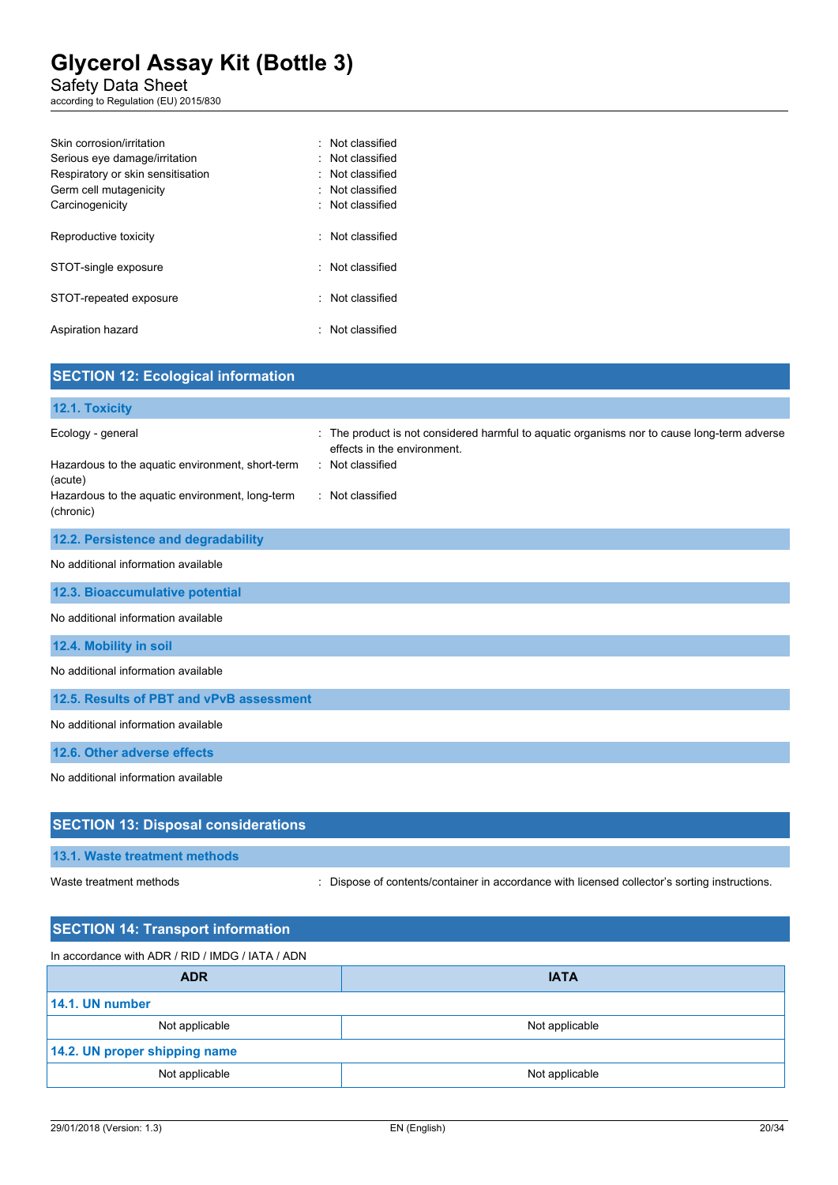Safety Data Sheet

according to Regulation (EU) 2015/830

| Skin corrosion/irritation         | · Not classified |
|-----------------------------------|------------------|
| Serious eye damage/irritation     | : Not classified |
| Respiratory or skin sensitisation | · Not classified |
| Germ cell mutagenicity            | · Not classified |
| Carcinogenicity                   | : Not classified |
|                                   |                  |
| Reproductive toxicity             | : Not classified |
|                                   |                  |
| STOT-single exposure              | · Not classified |
| STOT-repeated exposure            | Not classified   |
|                                   |                  |
| Aspiration hazard                 | · Not classified |
|                                   |                  |

| <b>SECTION 12: Ecological information</b>                                                                                                        |                                                                                                                                                                  |
|--------------------------------------------------------------------------------------------------------------------------------------------------|------------------------------------------------------------------------------------------------------------------------------------------------------------------|
| 12.1. Toxicity                                                                                                                                   |                                                                                                                                                                  |
| Ecology - general<br>Hazardous to the aquatic environment, short-term<br>(acute)<br>Hazardous to the aquatic environment, long-term<br>(chronic) | The product is not considered harmful to aquatic organisms nor to cause long-term adverse<br>effects in the environment.<br>: Not classified<br>: Not classified |
| 12.2. Persistence and degradability                                                                                                              |                                                                                                                                                                  |
| No additional information available                                                                                                              |                                                                                                                                                                  |
| 12.3. Bioaccumulative potential                                                                                                                  |                                                                                                                                                                  |
| No additional information available                                                                                                              |                                                                                                                                                                  |
| 12.4. Mobility in soil                                                                                                                           |                                                                                                                                                                  |
| No additional information available                                                                                                              |                                                                                                                                                                  |
| 12.5. Results of PBT and vPvB assessment                                                                                                         |                                                                                                                                                                  |
| No additional information available                                                                                                              |                                                                                                                                                                  |
| 12.6. Other adverse effects                                                                                                                      |                                                                                                                                                                  |
| No additional information available                                                                                                              |                                                                                                                                                                  |
| <b>SECTION 13: Disposal considerations</b>                                                                                                       |                                                                                                                                                                  |
| 13.1. Waste treatment methods                                                                                                                    |                                                                                                                                                                  |

Waste treatment methods : Dispose of contents/container in accordance with licensed collector's sorting instructions.

| <b>SECTION 14: Transport information</b>         |                |
|--------------------------------------------------|----------------|
| In accordance with ADR / RID / IMDG / IATA / ADN |                |
| <b>ADR</b>                                       | <b>IATA</b>    |
| 14.1. UN number                                  |                |
| Not applicable                                   | Not applicable |
| 14.2. UN proper shipping name                    |                |
| Not applicable                                   | Not applicable |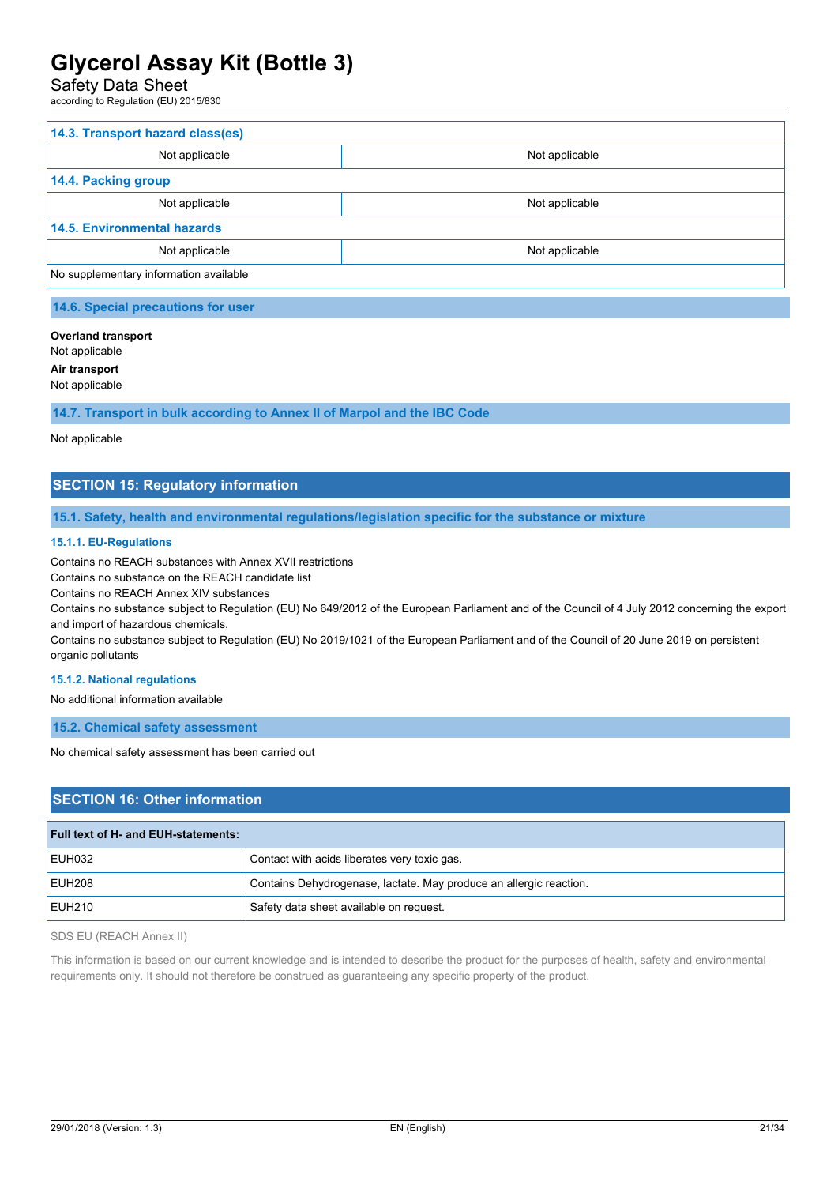# Safety Data Sheet

according to Regulation (EU) 2015/830

| 14.3. Transport hazard class(es)       |                |  |
|----------------------------------------|----------------|--|
| Not applicable                         | Not applicable |  |
| 14.4. Packing group                    |                |  |
| Not applicable                         | Not applicable |  |
| <b>14.5. Environmental hazards</b>     |                |  |
| Not applicable                         | Not applicable |  |
| No supplementary information available |                |  |

**14.6. Special precautions for user**

#### **Overland transport**

Not applicable

**Air transport**

Not applicable

**14.7. Transport in bulk according to Annex II of Marpol and the IBC Code**

#### Not applicable

# **SECTION 15: Regulatory information**

**15.1. Safety, health and environmental regulations/legislation specific for the substance or mixture**

#### **15.1.1. EU-Regulations**

Contains no REACH substances with Annex XVII restrictions

Contains no substance on the REACH candidate list

Contains no REACH Annex XIV substances

Contains no substance subject to Regulation (EU) No 649/2012 of the European Parliament and of the Council of 4 July 2012 concerning the export and import of hazardous chemicals.

Contains no substance subject to Regulation (EU) No 2019/1021 of the European Parliament and of the Council of 20 June 2019 on persistent organic pollutants

#### **15.1.2. National regulations**

No additional information available

**15.2. Chemical safety assessment**

No chemical safety assessment has been carried out

# **SECTION 16: Other information**

| Full text of H- and EUH-statements: |                                                                    |
|-------------------------------------|--------------------------------------------------------------------|
| EUH032                              | Contact with acids liberates very toxic gas.                       |
| <b>EUH208</b>                       | Contains Dehydrogenase, lactate. May produce an allergic reaction. |
| EUH210                              | Safety data sheet available on request.                            |

SDS EU (REACH Annex II)

This information is based on our current knowledge and is intended to describe the product for the purposes of health, safety and environmental requirements only. It should not therefore be construed as guaranteeing any specific property of the product.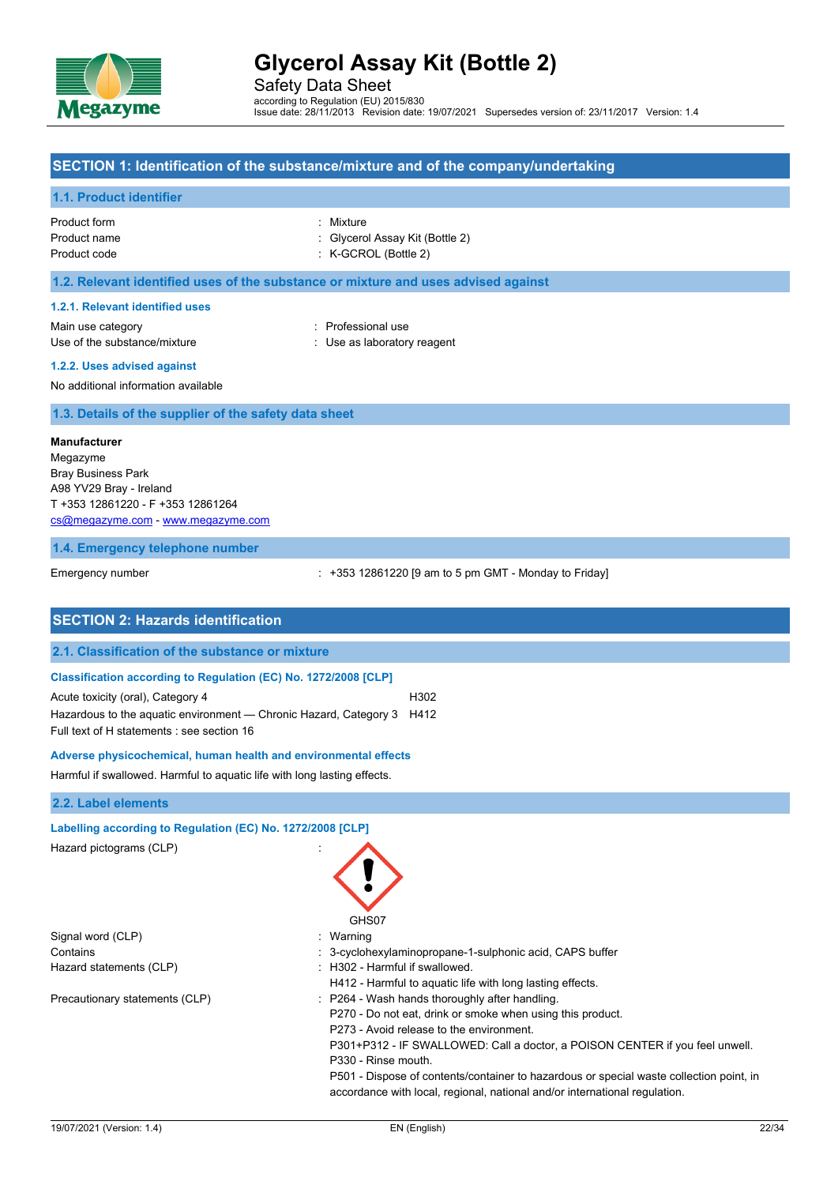

Safety Data Sheet according to Regulation (EU) 2015/830 Issue date: 28/11/2013 Revision date: 19/07/2021 Supersedes version of: 23/11/2017 Version: 1.4

### **SECTION 1: Identification of the substance/mixture and of the company/undertaking**

#### **1.1. Product identifier**

| Product form | : Mixture                       |
|--------------|---------------------------------|
| Product name | : Givcerol Assay Kit (Bottle 2) |
| Product code | $:$ K-GCROL (Bottle 2)          |

# **1.2. Relevant identified uses of the substance or mixture and uses advised against**

#### **1.2.1. Relevant identified uses**

Main use category **Example 20** and 20 and 20 and 20 and 20 and 20 and 20 and 20 and 20 and 20 and 20 and 20 and 20 and 20 and 20 and 20 and 20 and 20 and 20 and 20 and 20 and 20 and 20 and 20 and 20 and 20 and 20 and 20 an Use of the substance/mixture in the substance of the substance of the substance in the substance of the substance of the substance of the substance of the substance of the substance of the substance of the substance of the

# **1.2.2. Uses advised against**

No additional information available

**1.3. Details of the supplier of the safety data sheet**

#### **Manufacturer**

Megazyme Bray Business Park A98 YV29 Bray - Ireland T +353 12861220 - F +353 12861264 [cs@megazyme.com](mailto:cs@megazyme.com) - <www.megazyme.com>

#### **1.4. Emergency telephone number**

Emergency number **Emergency** number : +353 12861220 [9 am to 5 pm GMT - Monday to Friday]

| <b>SECTION 2: Hazards identification</b>                                 |                                                                                         |
|--------------------------------------------------------------------------|-----------------------------------------------------------------------------------------|
| 2.1. Classification of the substance or mixture                          |                                                                                         |
| Classification according to Regulation (EC) No. 1272/2008 [CLP]          |                                                                                         |
| Acute toxicity (oral), Category 4                                        | H302                                                                                    |
| Hazardous to the aquatic environment — Chronic Hazard, Category 3        | H412                                                                                    |
| Full text of H statements : see section 16                               |                                                                                         |
| Adverse physicochemical, human health and environmental effects          |                                                                                         |
| Harmful if swallowed. Harmful to aquatic life with long lasting effects. |                                                                                         |
| 2.2. Label elements                                                      |                                                                                         |
| Labelling according to Regulation (EC) No. 1272/2008 [CLP]               |                                                                                         |
| Hazard pictograms (CLP)                                                  | GHS07                                                                                   |
| Signal word (CLP)                                                        | Warning                                                                                 |
| Contains                                                                 | 3-cyclohexylaminopropane-1-sulphonic acid, CAPS buffer                                  |
| Hazard statements (CLP)                                                  | H302 - Harmful if swallowed.                                                            |
|                                                                          | H412 - Harmful to aquatic life with long lasting effects.                               |
| Precautionary statements (CLP)                                           | : P264 - Wash hands thoroughly after handling.                                          |
|                                                                          | P270 - Do not eat, drink or smoke when using this product.                              |
|                                                                          | P273 - Avoid release to the environment.                                                |
|                                                                          | P301+P312 - IF SWALLOWED: Call a doctor, a POISON CENTER if you feel unwell.            |
|                                                                          | P330 - Rinse mouth.                                                                     |
|                                                                          | P501 - Dispose of contents/container to hazardous or special waste collection point, in |
|                                                                          | accordance with local, regional, national and/or international regulation.              |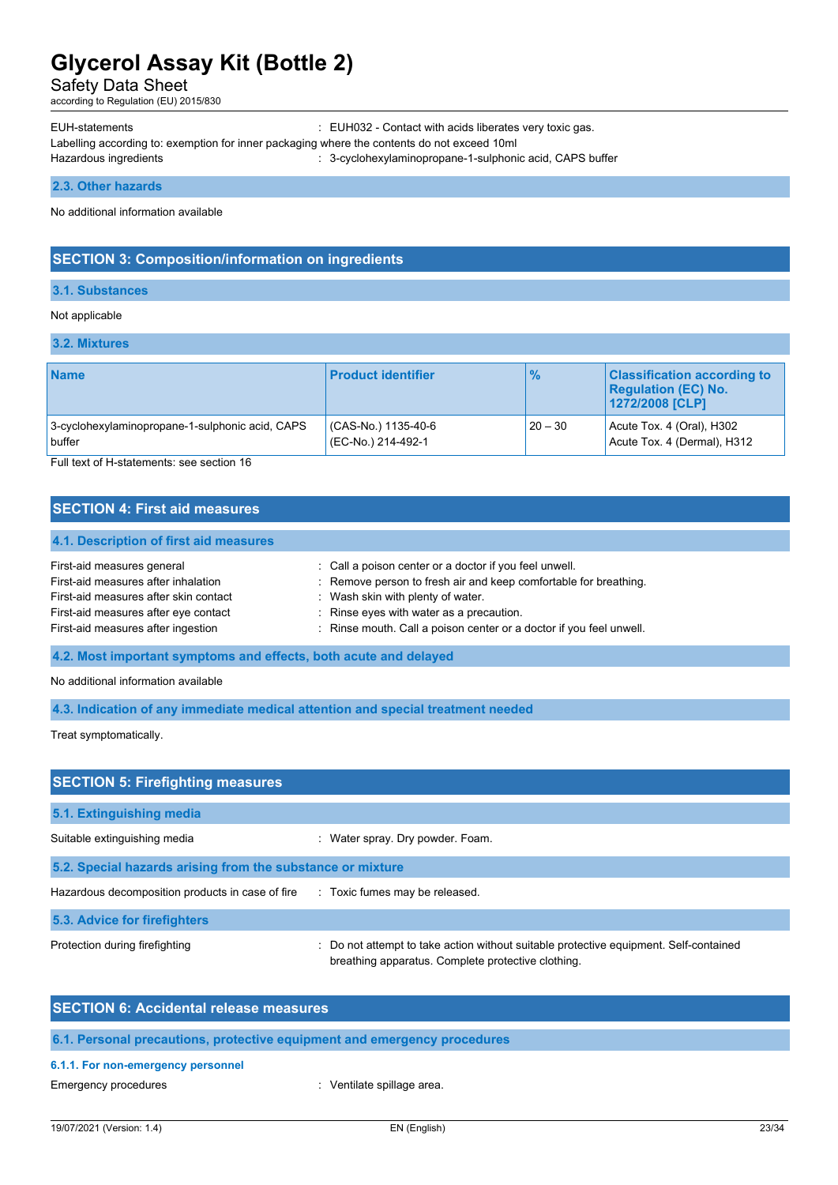Safety Data Sheet

according to Regulation (EU) 2015/830

EUH-statements : EUH032 - Contact with acids liberates very toxic gas. Labelling according to: exemption for inner packaging where the contents do not exceed 10ml Hazardous ingredients **in the state of the state of the state of the state of the state of the state of the state of the state of the state of the state of the state of the state of the state of the state of the state of t** 

**2.3. Other hazards**

No additional information available

# **SECTION 3: Composition/information on ingredients**

### **3.1. Substances**

# Not applicable

#### **3.2. Mixtures**

| <b>Name</b>                                     | <b>Product identifier</b> | $\frac{9}{6}$ | <b>Classification according to</b><br><b>Regulation (EC) No.</b><br>1272/2008 [CLP] |
|-------------------------------------------------|---------------------------|---------------|-------------------------------------------------------------------------------------|
| 3-cyclohexylaminopropane-1-sulphonic acid, CAPS | (CAS-No.) 1135-40-6       | $20 - 30$     | Acute Tox. 4 (Oral), H302                                                           |
| buffer                                          | (EC-No.) 214-492-1        |               | Acute Tox. 4 (Dermal), H312                                                         |

Full text of H-statements: see section 16

# **SECTION 4: First aid measures**

# **4.1. Description of first aid measures** First-aid measures general in the state of call a poison center or a doctor if you feel unwell. First-aid measures after inhalation : Remove person to fresh air and keep comfortable for breathing. First-aid measures after skin contact : Wash skin with plenty of water. First-aid measures after eve contact **in the set of the set of the set of the set of the First-aid measures** in Rinse eyes with water as a precaution. First-aid measures after ingestion : Rinse mouth. Call a poison center or a doctor if you feel unwell.

**4.2. Most important symptoms and effects, both acute and delayed**

No additional information available

**4.3. Indication of any immediate medical attention and special treatment needed**

Treat symptomatically.

| <b>SECTION 5: Firefighting measures</b>                    |                                                                                                                                           |
|------------------------------------------------------------|-------------------------------------------------------------------------------------------------------------------------------------------|
| 5.1. Extinguishing media                                   |                                                                                                                                           |
| Suitable extinguishing media                               | : Water spray. Dry powder. Foam.                                                                                                          |
| 5.2. Special hazards arising from the substance or mixture |                                                                                                                                           |
| Hazardous decomposition products in case of fire           | : Toxic fumes may be released.                                                                                                            |
| 5.3. Advice for firefighters                               |                                                                                                                                           |
| Protection during firefighting                             | Do not attempt to take action without suitable protective equipment. Self-contained<br>breathing apparatus. Complete protective clothing. |

| <b>SECTION 6: Accidental release measures</b>                            |
|--------------------------------------------------------------------------|
| 6.1. Personal precautions, protective equipment and emergency procedures |
| 6.1.1. For non-emergency personnel                                       |

Emergency procedures in the spillage area. The spillage area.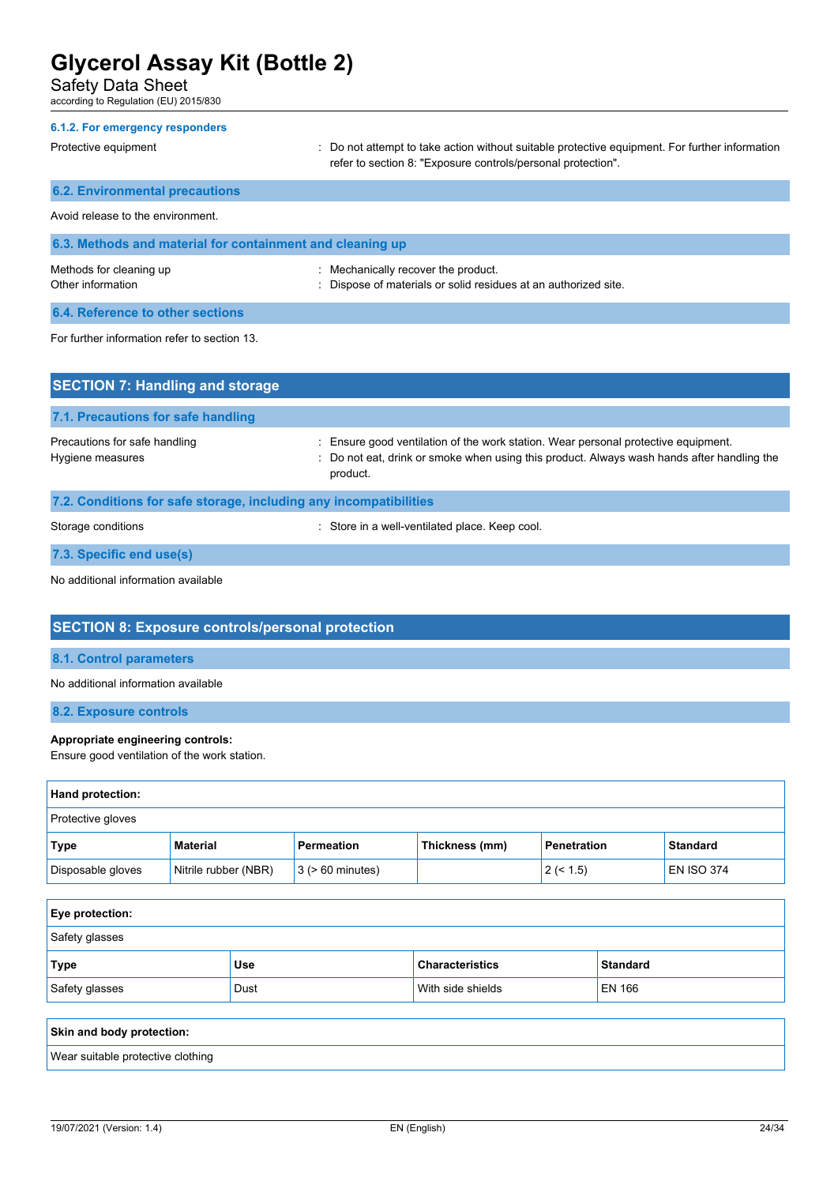Safety Data Sheet

according to Regulation (EU) 2015/830

| 6.1.2. For emergency responders                           |                                                                                                                                                                |
|-----------------------------------------------------------|----------------------------------------------------------------------------------------------------------------------------------------------------------------|
| Protective equipment                                      | : Do not attempt to take action without suitable protective equipment. For further information<br>refer to section 8: "Exposure controls/personal protection". |
| <b>6.2. Environmental precautions</b>                     |                                                                                                                                                                |
| Avoid release to the environment.                         |                                                                                                                                                                |
| 6.3. Methods and material for containment and cleaning up |                                                                                                                                                                |
| Methods for cleaning up<br>Other information              | : Mechanically recover the product.<br>: Dispose of materials or solid residues at an authorized site.                                                         |
| 6.4. Reference to other sections                          |                                                                                                                                                                |
| For further information refer to section 13.              |                                                                                                                                                                |

**SECTION 7: Handling and storage 7.1. Precautions for safe handling** Precautions for safe handling state is ensure good ventilation of the work station. Wear personal protective equipment. Hygiene measures **included in the state of the state of the state of the state of the state of the state of the state of the state of the state of the state of the state of the state of the state of the state of the state** product. **7.2. Conditions for safe storage, including any incompatibilities** Storage conditions **Storage conditions** : Store in a well-ventilated place. Keep cool.

**7.3. Specific end use(s)**

No additional information available

# **SECTION 8: Exposure controls/personal protection**

#### **8.1. Control parameters**

No additional information available

**8.2. Exposure controls**

### **Appropriate engineering controls:**

Ensure good ventilation of the work station.

| Hand protection:  |                      |                       |                |                    |                   |
|-------------------|----------------------|-----------------------|----------------|--------------------|-------------------|
| Protective gloves |                      |                       |                |                    |                   |
| Type              | <b>Material</b>      | Permeation            | Thickness (mm) | <b>Penetration</b> | <b>Standard</b>   |
| Disposable gloves | Nitrile rubber (NBR) | $3$ ( $> 60$ minutes) |                | 2 (< 1.5)          | <b>EN ISO 374</b> |

| Eye protection: |            |                        |                 |
|-----------------|------------|------------------------|-----------------|
| Safety glasses  |            |                        |                 |
| <b>Type</b>     | <b>Use</b> | <b>Characteristics</b> | <b>Standard</b> |
| Safety glasses  | Dust       | With side shields      | <b>EN 166</b>   |
|                 |            |                        |                 |

| Skin and body protection:         |  |
|-----------------------------------|--|
| Wear suitable protective clothing |  |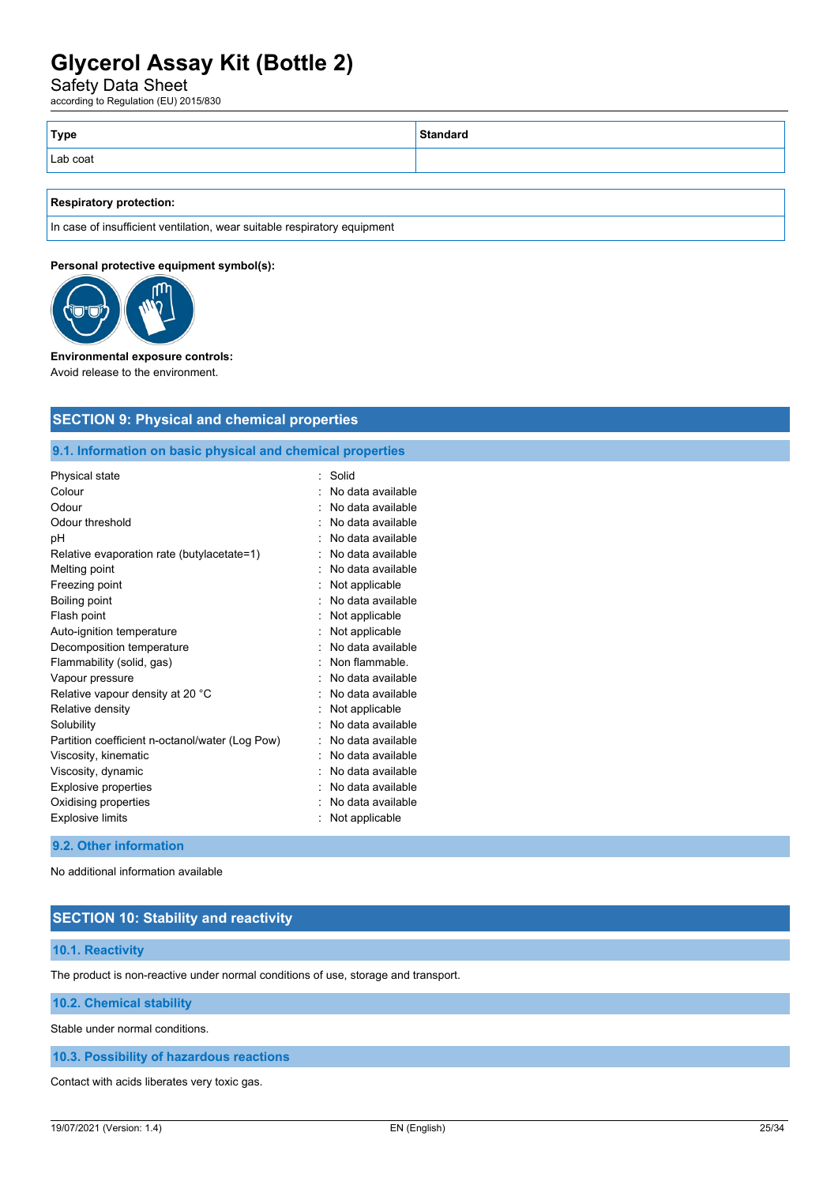Safety Data Sheet

according to Regulation (EU) 2015/830

| Standard |
|----------|
|          |
|          |

#### **Respiratory protection:**

In case of insufficient ventilation, wear suitable respiratory equipment

**SECTION 9: Physical and chemical properties**

### **Personal protective equipment symbol(s):**



#### **Environmental exposure controls:**

Avoid release to the environment.

| 9.1. Information on basic physical and chemical properties |                   |
|------------------------------------------------------------|-------------------|
| Physical state                                             | Solid             |
| Colour                                                     | No data available |
| Odour                                                      | No data available |
| Odour threshold                                            | No data available |
| рH                                                         | No data available |
| Relative evaporation rate (butylacetate=1)                 | No data available |
| Melting point                                              | No data available |
| Freezing point                                             | Not applicable    |
| Boiling point                                              | No data available |
| Flash point                                                | Not applicable    |
| Auto-ignition temperature                                  | Not applicable    |
| Decomposition temperature                                  | No data available |
| Flammability (solid, gas)                                  | Non flammable.    |
| Vapour pressure                                            | No data available |
| Relative vapour density at 20 °C                           | No data available |
| Relative density                                           | Not applicable    |
| Solubility                                                 | No data available |
| Partition coefficient n-octanol/water (Log Pow)            | No data available |
| Viscosity, kinematic                                       | No data available |
| Viscosity, dynamic                                         | No data available |
| <b>Explosive properties</b>                                | No data available |
| Oxidising properties                                       | No data available |
| <b>Explosive limits</b>                                    | Not applicable    |

#### **9.2. Other information**

No additional information available

# **SECTION 10: Stability and reactivity**

#### **10.1. Reactivity**

The product is non-reactive under normal conditions of use, storage and transport.

**10.2. Chemical stability**

Stable under normal conditions.

**10.3. Possibility of hazardous reactions**

Contact with acids liberates very toxic gas.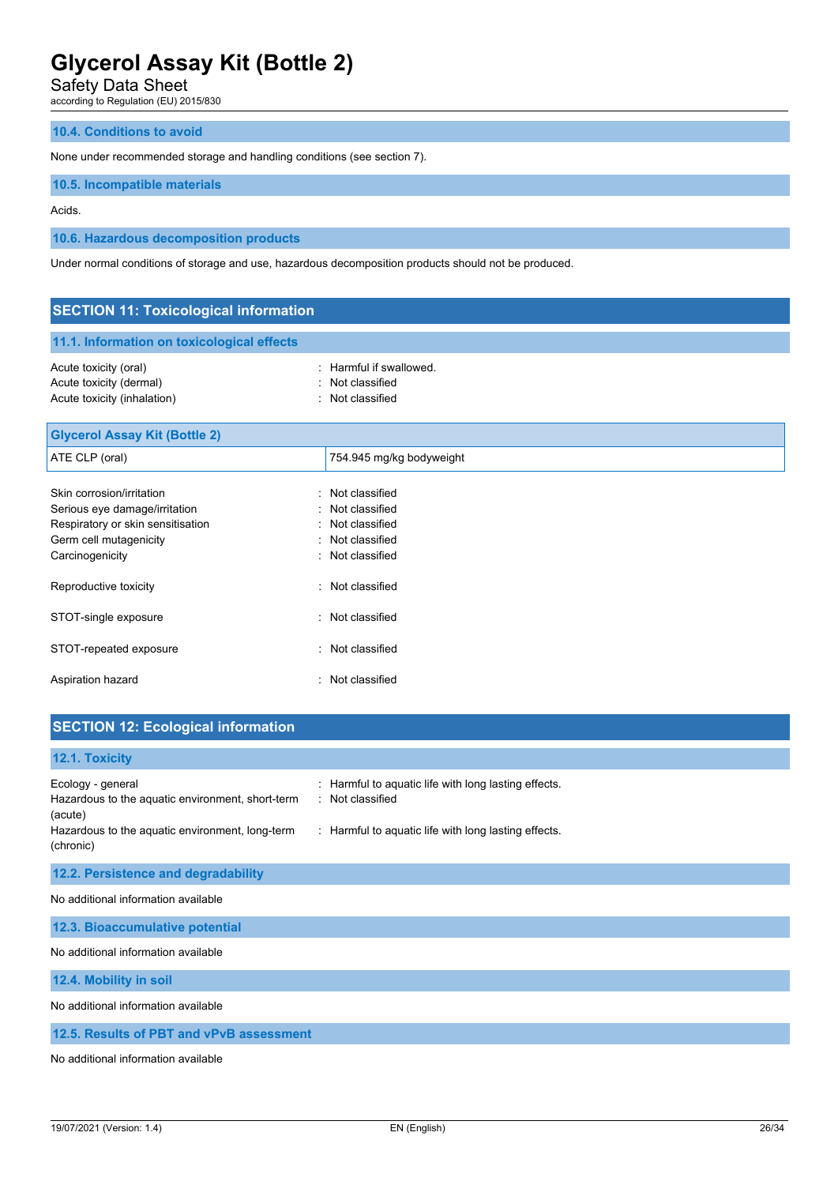Safety Data Sheet

according to Regulation (EU) 2015/830

# **10.4. Conditions to avoid**

None under recommended storage and handling conditions (see section 7).

# **10.5. Incompatible materials**

Acids.

# **10.6. Hazardous decomposition products**

Under normal conditions of storage and use, hazardous decomposition products should not be produced.

| <b>SECTION 11: Toxicological information</b>                                                                                                 |                                                                                                       |  |
|----------------------------------------------------------------------------------------------------------------------------------------------|-------------------------------------------------------------------------------------------------------|--|
| 11.1. Information on toxicological effects                                                                                                   |                                                                                                       |  |
| Acute toxicity (oral)<br>Acute toxicity (dermal)<br>Acute toxicity (inhalation)                                                              | Harmful if swallowed.<br>Not classified<br>Not classified                                             |  |
| <b>Glycerol Assay Kit (Bottle 2)</b>                                                                                                         |                                                                                                       |  |
| ATE CLP (oral)                                                                                                                               | 754.945 mg/kg bodyweight                                                                              |  |
| Skin corrosion/irritation<br>Serious eye damage/irritation<br>Respiratory or skin sensitisation<br>Germ cell mutagenicity<br>Carcinogenicity | Not classified<br>Not classified<br>Not classified<br>٠<br>Not classified<br>۰<br>Not classified<br>۰ |  |
| Reproductive toxicity                                                                                                                        | Not classified<br>۰                                                                                   |  |
| STOT-single exposure                                                                                                                         | : Not classified                                                                                      |  |
| STOT-repeated exposure                                                                                                                       | : Not classified                                                                                      |  |
| Aspiration hazard                                                                                                                            | Not classified<br>÷                                                                                   |  |

| <b>SECTION 12: Ecological information</b>                                                                                                        |                                                                                                                                  |
|--------------------------------------------------------------------------------------------------------------------------------------------------|----------------------------------------------------------------------------------------------------------------------------------|
| 12.1. Toxicity                                                                                                                                   |                                                                                                                                  |
| Ecology - general<br>Hazardous to the aquatic environment, short-term<br>(acute)<br>Hazardous to the aquatic environment, long-term<br>(chronic) | : Harmful to aquatic life with long lasting effects.<br>: Not classified<br>: Harmful to aquatic life with long lasting effects. |
| 12.2. Persistence and degradability                                                                                                              |                                                                                                                                  |
| No additional information available                                                                                                              |                                                                                                                                  |
| 12.3. Bioaccumulative potential                                                                                                                  |                                                                                                                                  |
| No additional information available                                                                                                              |                                                                                                                                  |
| 12.4. Mobility in soil                                                                                                                           |                                                                                                                                  |
| No additional information available                                                                                                              |                                                                                                                                  |
| 12.5. Results of PBT and vPvB assessment                                                                                                         |                                                                                                                                  |

No additional information available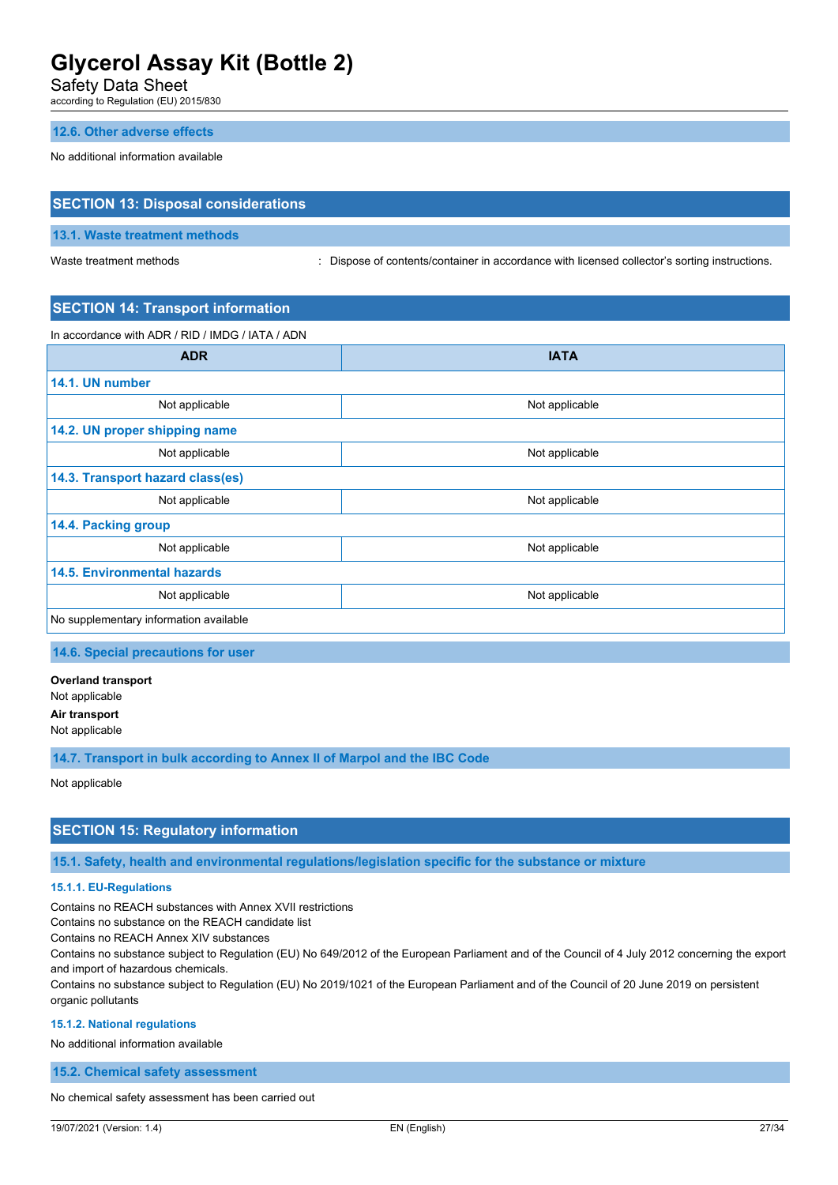Safety Data Sheet

according to Regulation (EU) 2015/830

# **12.6. Other adverse effects**

No additional information available

# **SECTION 13: Disposal considerations**

### **13.1. Waste treatment methods**

Waste treatment methods : Dispose of contents/container in accordance with licensed collector's sorting instructions.

# **SECTION 14: Transport information**

In accordance with ADR / RID / IMDG / IATA / ADN

| <b>ADR</b>                             | <b>IATA</b>    |  |
|----------------------------------------|----------------|--|
| 14.1. UN number                        |                |  |
| Not applicable                         | Not applicable |  |
| 14.2. UN proper shipping name          |                |  |
| Not applicable                         | Not applicable |  |
| 14.3. Transport hazard class(es)       |                |  |
| Not applicable                         | Not applicable |  |
| 14.4. Packing group                    |                |  |
| Not applicable                         | Not applicable |  |
| <b>14.5. Environmental hazards</b>     |                |  |
| Not applicable                         | Not applicable |  |
| No supplementary information available |                |  |

**14.6. Special precautions for user**

**Overland transport** Not applicable **Air transport**

Not applicable

**14.7. Transport in bulk according to Annex II of Marpol and the IBC Code**

Not applicable

# **SECTION 15: Regulatory information**

**15.1. Safety, health and environmental regulations/legislation specific for the substance or mixture**

#### **15.1.1. EU-Regulations**

Contains no REACH substances with Annex XVII restrictions

Contains no substance on the REACH candidate list

Contains no REACH Annex XIV substances

Contains no substance subject to Regulation (EU) No 649/2012 of the European Parliament and of the Council of 4 July 2012 concerning the export and import of hazardous chemicals.

Contains no substance subject to Regulation (EU) No 2019/1021 of the European Parliament and of the Council of 20 June 2019 on persistent organic pollutants

#### **15.1.2. National regulations**

No additional information available

**15.2. Chemical safety assessment**

No chemical safety assessment has been carried out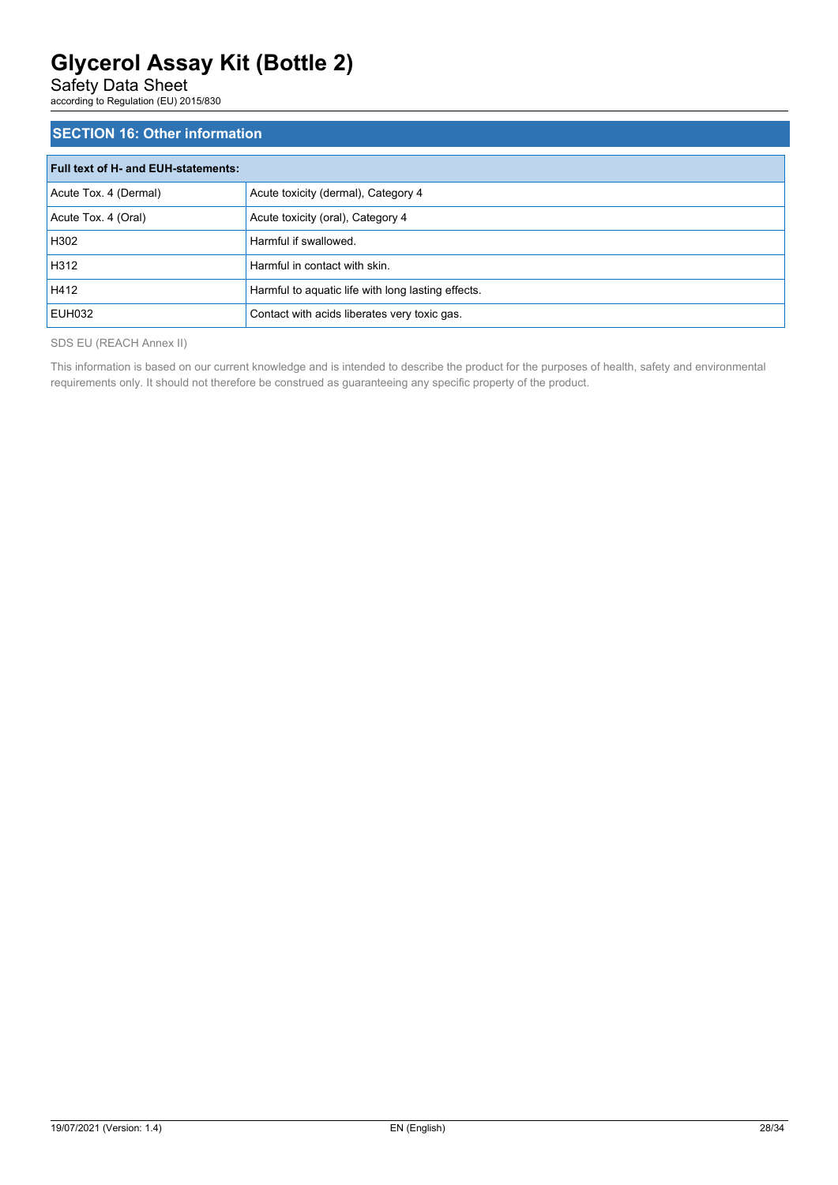Safety Data Sheet

according to Regulation (EU) 2015/830

# **SECTION 16: Other information**

| <b>Full text of H- and EUH-statements:</b> |                                                    |  |
|--------------------------------------------|----------------------------------------------------|--|
| Acute Tox. 4 (Dermal)                      | Acute toxicity (dermal), Category 4                |  |
| Acute Tox. 4 (Oral)                        | Acute toxicity (oral), Category 4                  |  |
| H302                                       | Harmful if swallowed.                              |  |
| H312                                       | Harmful in contact with skin.                      |  |
| H412                                       | Harmful to aquatic life with long lasting effects. |  |
| EUH032                                     | Contact with acids liberates very toxic gas.       |  |

SDS EU (REACH Annex II)

This information is based on our current knowledge and is intended to describe the product for the purposes of health, safety and environmental requirements only. It should not therefore be construed as guaranteeing any specific property of the product.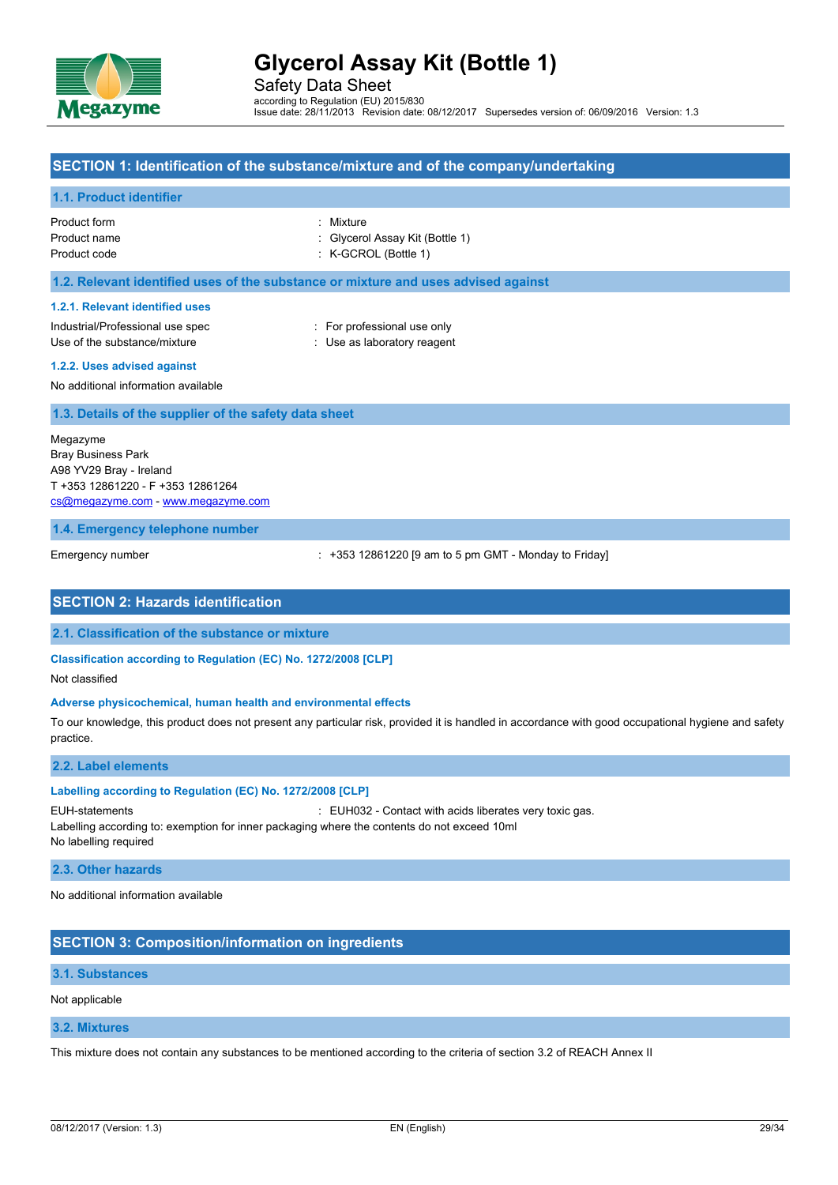

Safety Data Sheet according to Regulation (EU) 2015/830 Issue date: 28/11/2013 Revision date: 08/12/2017 Supersedes version of: 06/09/2016 Version: 1.3

### **SECTION 1: Identification of the substance/mixture and of the company/undertaking**

### **1.1. Product identifier**

| Product form | : Mixture                       |
|--------------|---------------------------------|
| Product name | : Givcerol Assay Kit (Bottle 1) |
| Product code | $:$ K-GCROL (Bottle 1)          |

#### **1.2. Relevant identified uses of the substance or mixture and uses advised against**

#### **1.2.1. Relevant identified uses**

Industrial/Professional use spec : For professional use only Use of the substance/mixture  $\qquad \qquad : \qquad$  Use as laboratory reagent

#### **1.2.2. Uses advised against**

No additional information available

#### **1.3. Details of the supplier of the safety data sheet**

Megazyme Bray Business Park A98 YV29 Bray - Ireland T +353 12861220 - F +353 12861264 [cs@megazyme.com](mailto:cs@megazyme.com) - <www.megazyme.com>

**1.4. Emergency telephone number**

Emergency number : +353 12861220 [9 am to 5 pm GMT - Monday to Friday]

### **SECTION 2: Hazards identification**

### **2.1. Classification of the substance or mixture**

**Classification according to Regulation (EC) No. 1272/2008 [CLP]**

Not classified

### **Adverse physicochemical, human health and environmental effects**

To our knowledge, this product does not present any particular risk, provided it is handled in accordance with good occupational hygiene and safety practice.

### **2.2. Label elements**

#### **Labelling according to Regulation (EC) No. 1272/2008 [CLP]**

EUH-statements : EUH032 - Contact with acids liberates very toxic gas. Labelling according to: exemption for inner packaging where the contents do not exceed 10ml No labelling required

#### **2.3. Other hazards**

No additional information available

# **SECTION 3: Composition/information on ingredients**

#### **3.1. Substances**

Not applicable

# **3.2. Mixtures**

This mixture does not contain any substances to be mentioned according to the criteria of section 3.2 of REACH Annex II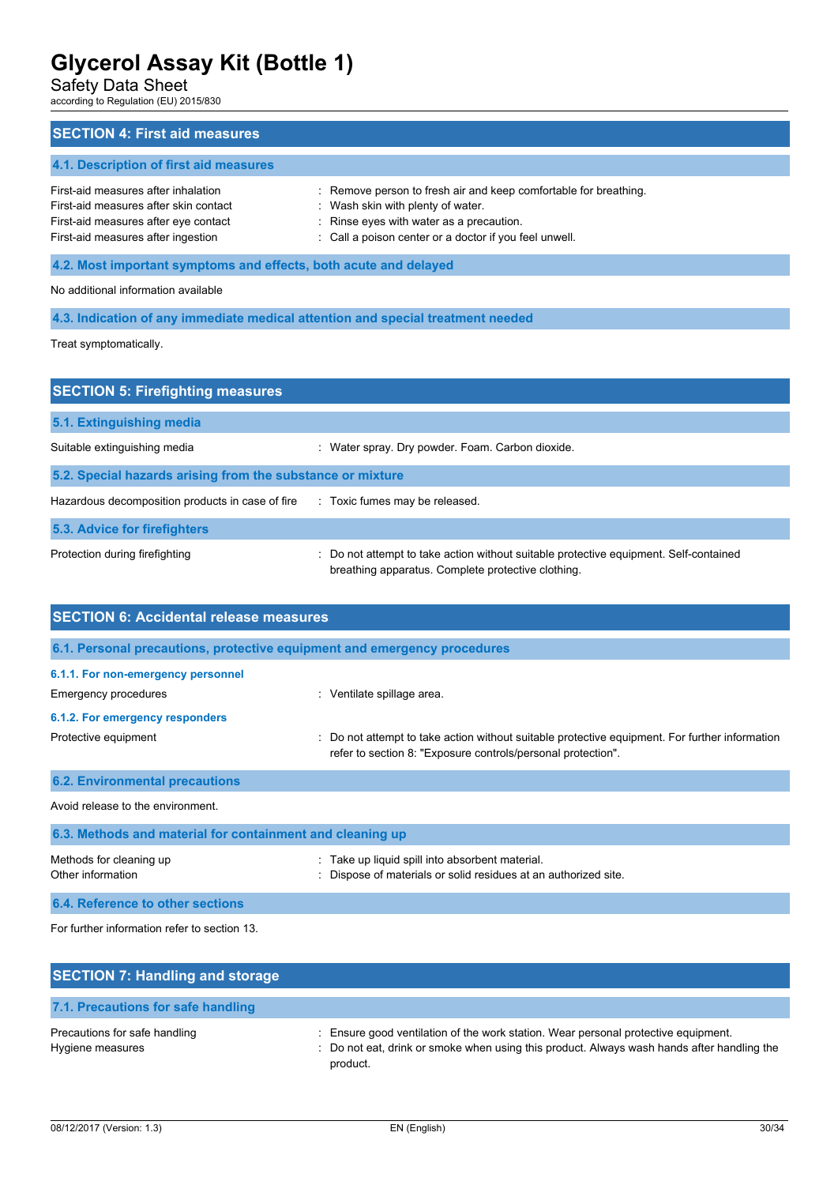Safety Data Sheet

according to Regulation (EU) 2015/830

# **SECTION 4: First aid measures 4.1. Description of first aid measures** First-aid measures after inhalation : Remove person to fresh air and keep comfortable for breathing. First-aid measures after skin contact : Wash skin with plenty of water. First-aid measures after eye contact : Rinse eyes with water as a precaution. First-aid measures after ingestion : Call a poison center or a doctor if you feel unwell. **4.2. Most important symptoms and effects, both acute and delayed** No additional information available **4.3. Indication of any immediate medical attention and special treatment needed**

Treat symptomatically.

| <b>SECTION 5: Firefighting measures</b>                    |                                                                                                                                             |  |
|------------------------------------------------------------|---------------------------------------------------------------------------------------------------------------------------------------------|--|
| 5.1. Extinguishing media                                   |                                                                                                                                             |  |
| Suitable extinguishing media                               | Water spray. Dry powder. Foam. Carbon dioxide.                                                                                              |  |
| 5.2. Special hazards arising from the substance or mixture |                                                                                                                                             |  |
| Hazardous decomposition products in case of fire           | : Toxic fumes may be released.                                                                                                              |  |
| 5.3. Advice for firefighters                               |                                                                                                                                             |  |
| Protection during firefighting                             | : Do not attempt to take action without suitable protective equipment. Self-contained<br>breathing apparatus. Complete protective clothing. |  |

| <b>SECTION 6: Accidental release measures</b>                            |                                                                                                                                                              |  |
|--------------------------------------------------------------------------|--------------------------------------------------------------------------------------------------------------------------------------------------------------|--|
| 6.1. Personal precautions, protective equipment and emergency procedures |                                                                                                                                                              |  |
| 6.1.1. For non-emergency personnel                                       |                                                                                                                                                              |  |
| Emergency procedures                                                     | : Ventilate spillage area.                                                                                                                                   |  |
| 6.1.2. For emergency responders                                          |                                                                                                                                                              |  |
| Protective equipment                                                     | Do not attempt to take action without suitable protective equipment. For further information<br>refer to section 8: "Exposure controls/personal protection". |  |
| <b>6.2. Environmental precautions</b>                                    |                                                                                                                                                              |  |
| Avoid release to the environment.                                        |                                                                                                                                                              |  |
| 6.3. Methods and material for containment and cleaning up                |                                                                                                                                                              |  |
| Methods for cleaning up<br>Other information                             | Take up liquid spill into absorbent material.<br>Dispose of materials or solid residues at an authorized site.                                               |  |
| 6.4. Reference to other sections                                         |                                                                                                                                                              |  |

For further information refer to section 13.

| <b>SECTION 7: Handling and storage</b>            |                                                                                                                                                                                              |
|---------------------------------------------------|----------------------------------------------------------------------------------------------------------------------------------------------------------------------------------------------|
| 7.1. Precautions for safe handling                |                                                                                                                                                                                              |
| Precautions for safe handling<br>Hygiene measures | : Ensure good ventilation of the work station. Wear personal protective equipment.<br>: Do not eat, drink or smoke when using this product. Always wash hands after handling the<br>product. |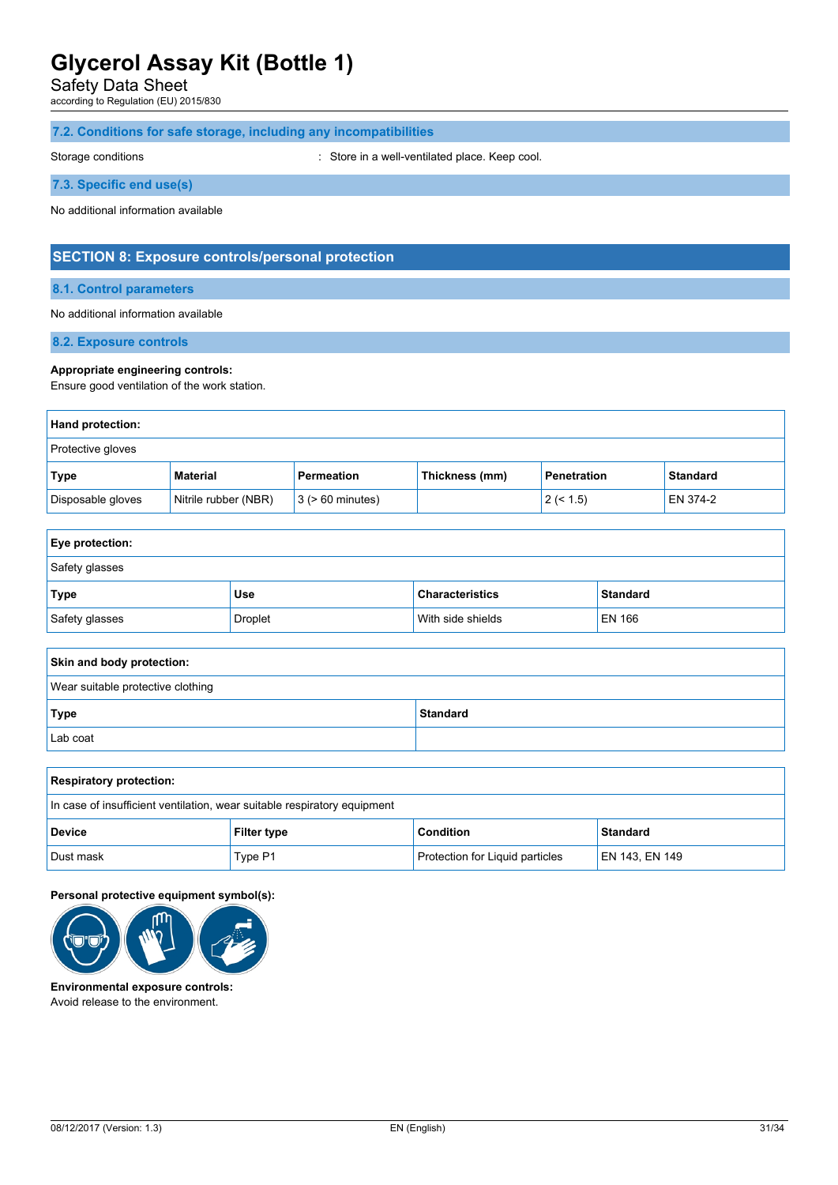Safety Data Sheet

according to Regulation (EU) 2015/830

# **7.2. Conditions for safe storage, including any incompatibilities**

Storage conditions **Storage conditions** : Store in a well-ventilated place. Keep cool.

**7.3. Specific end use(s)**

No additional information available

# **SECTION 8: Exposure controls/personal protection**

# **8.1. Control parameters**

#### No additional information available

**8.2. Exposure controls**

#### **Appropriate engineering controls:**

Ensure good ventilation of the work station.

| Hand protection:  |                      |                       |                |                    |                 |
|-------------------|----------------------|-----------------------|----------------|--------------------|-----------------|
| Protective gloves |                      |                       |                |                    |                 |
| Type              | Material             | Permeation            | Thickness (mm) | <b>Penetration</b> | <b>Standard</b> |
| Disposable gloves | Nitrile rubber (NBR) | $3$ ( $> 60$ minutes) |                | 2 (< 1.5)          | EN 374-2        |

| <b>Eye protection:</b> |         |                        |                 |
|------------------------|---------|------------------------|-----------------|
| Safety glasses         |         |                        |                 |
| Type                   | Use     | <b>Characteristics</b> | <b>Standard</b> |
| Safety glasses         | Droplet | With side shields      | EN 166          |

| Skin and body protection:         |                 |  |
|-----------------------------------|-----------------|--|
| Wear suitable protective clothing |                 |  |
| Type                              | <b>Standard</b> |  |
| Lab coat                          |                 |  |

| <b>Respiratory protection:</b>                                           |                    |                                 |                 |
|--------------------------------------------------------------------------|--------------------|---------------------------------|-----------------|
| In case of insufficient ventilation, wear suitable respiratory equipment |                    |                                 |                 |
| <b>Device</b>                                                            | <b>Filter type</b> | <b>Condition</b>                | <b>Standard</b> |
| Dust mask                                                                | Type P1            | Protection for Liquid particles | EN 143, EN 149  |

#### **Personal protective equipment symbol(s):**



**Environmental exposure controls:** Avoid release to the environment.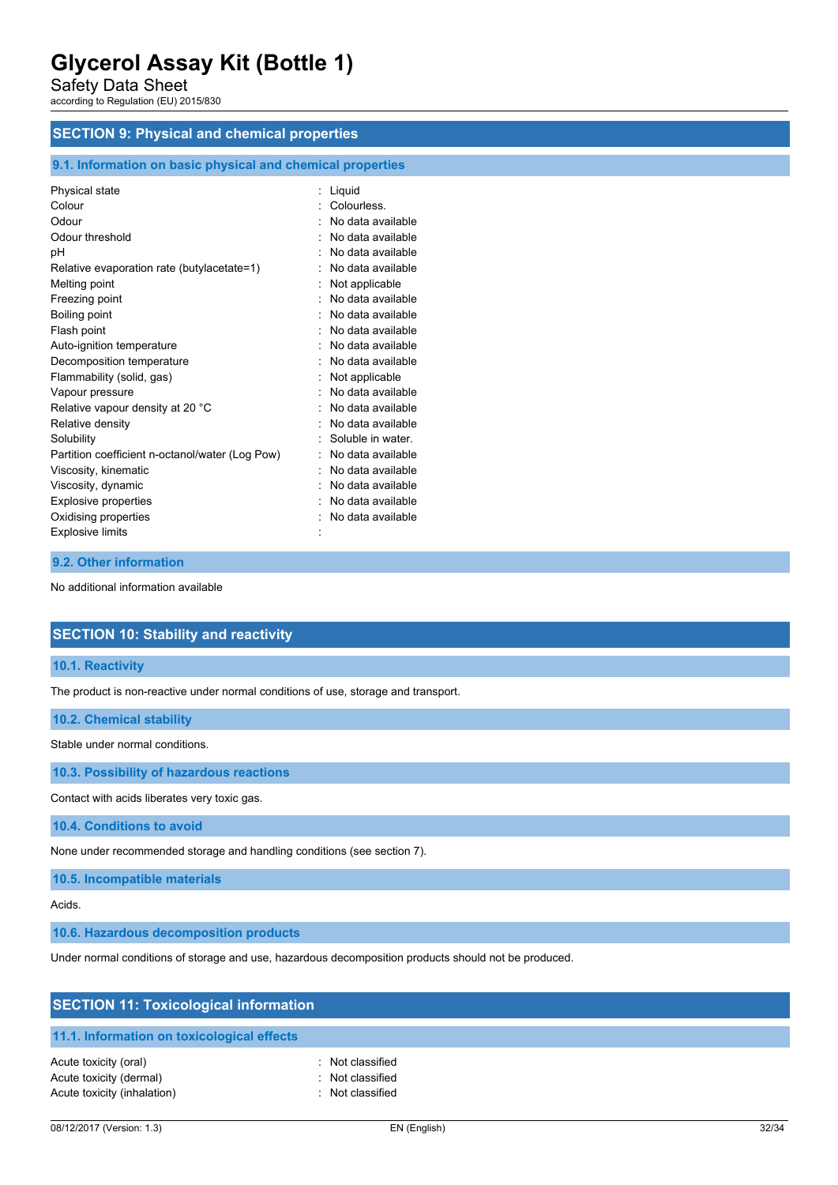Safety Data Sheet

according to Regulation (EU) 2015/830

# **SECTION 9: Physical and chemical properties**

# **9.1. Information on basic physical and chemical properties**

| Physical state                                  | Liquid            |
|-------------------------------------------------|-------------------|
| Colour                                          | Colourless.       |
| Odour                                           | No data available |
| Odour threshold                                 | No data available |
| рH                                              | No data available |
| Relative evaporation rate (butylacetate=1)      | No data available |
| Melting point                                   | Not applicable    |
| Freezing point                                  | No data available |
| Boiling point                                   | No data available |
| Flash point                                     | No data available |
| Auto-ignition temperature                       | No data available |
| Decomposition temperature                       | No data available |
| Flammability (solid, gas)                       | Not applicable    |
| Vapour pressure                                 | No data available |
| Relative vapour density at 20 °C                | No data available |
| Relative density                                | No data available |
| Solubility                                      | Soluble in water. |
| Partition coefficient n-octanol/water (Log Pow) | No data available |
| Viscosity, kinematic                            | No data available |
| Viscosity, dynamic                              | No data available |
| <b>Explosive properties</b>                     | No data available |
| Oxidising properties                            | No data available |
| <b>Explosive limits</b>                         |                   |
|                                                 |                   |

# **9.2. Other information**

No additional information available

# **SECTION 10: Stability and reactivity**

**10.1. Reactivity**

The product is non-reactive under normal conditions of use, storage and transport.

### **10.2. Chemical stability**

Stable under normal conditions.

**10.3. Possibility of hazardous reactions**

Contact with acids liberates very toxic gas.

**10.4. Conditions to avoid**

None under recommended storage and handling conditions (see section 7).

**10.5. Incompatible materials**

Acids.

**10.6. Hazardous decomposition products**

Under normal conditions of storage and use, hazardous decomposition products should not be produced.

| <b>SECTION 11: Toxicological information</b>                                    |                                                          |  |
|---------------------------------------------------------------------------------|----------------------------------------------------------|--|
| 11.1. Information on toxicological effects                                      |                                                          |  |
| Acute toxicity (oral)<br>Acute toxicity (dermal)<br>Acute toxicity (inhalation) | : Not classified<br>: Not classified<br>: Not classified |  |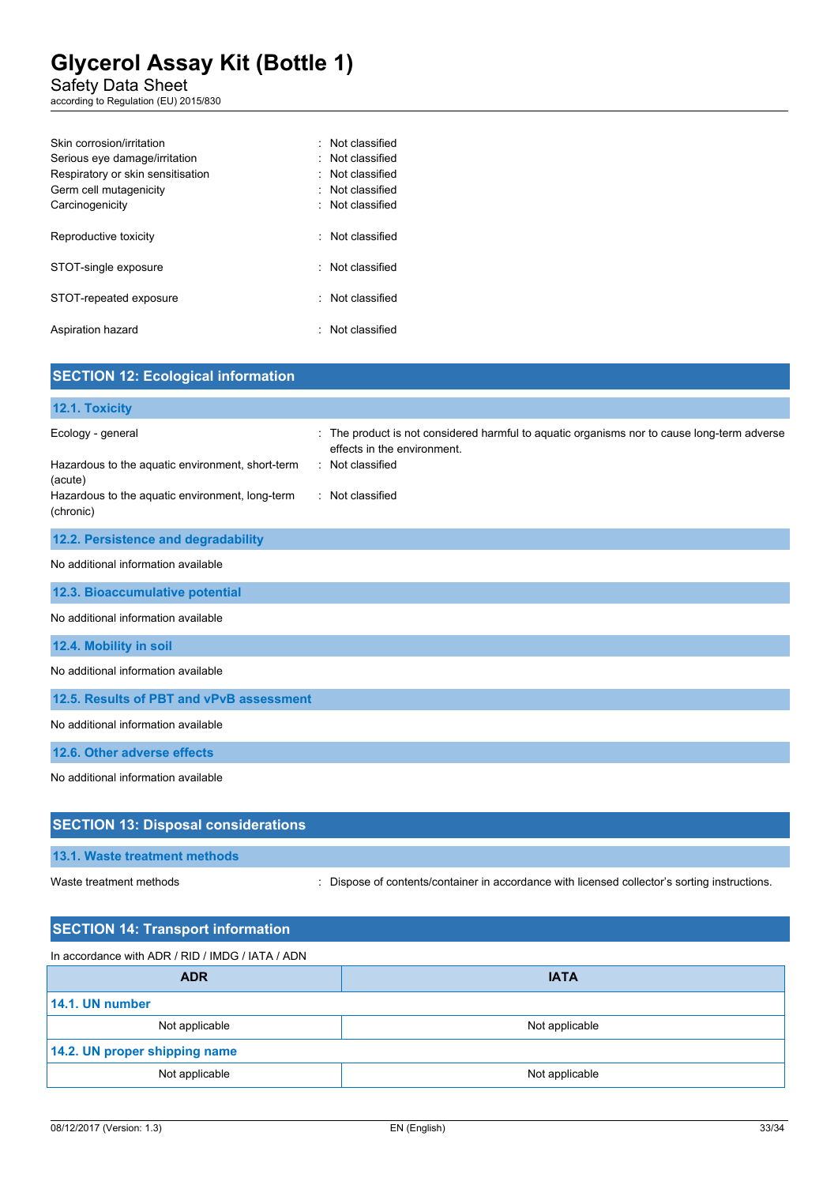Safety Data Sheet

according to Regulation (EU) 2015/830

| Skin corrosion/irritation         | · Not classified |
|-----------------------------------|------------------|
| Serious eye damage/irritation     | : Not classified |
| Respiratory or skin sensitisation | · Not classified |
| Germ cell mutagenicity            | · Not classified |
| Carcinogenicity                   | : Not classified |
|                                   |                  |
| Reproductive toxicity             | · Not classified |
|                                   |                  |
| STOT-single exposure              | · Not classified |
|                                   |                  |
| STOT-repeated exposure            | : Not classified |
|                                   |                  |
| Aspiration hazard                 | : Not classified |
|                                   |                  |

| <b>SECTION 12: Ecological information</b>                                                                                                        |                                                                                                                                                                  |
|--------------------------------------------------------------------------------------------------------------------------------------------------|------------------------------------------------------------------------------------------------------------------------------------------------------------------|
| 12.1. Toxicity                                                                                                                                   |                                                                                                                                                                  |
| Ecology - general<br>Hazardous to the aquatic environment, short-term<br>(acute)<br>Hazardous to the aquatic environment, long-term<br>(chronic) | The product is not considered harmful to aquatic organisms nor to cause long-term adverse<br>effects in the environment.<br>: Not classified<br>: Not classified |
| 12.2. Persistence and degradability                                                                                                              |                                                                                                                                                                  |
| No additional information available                                                                                                              |                                                                                                                                                                  |
| 12.3. Bioaccumulative potential                                                                                                                  |                                                                                                                                                                  |
| No additional information available                                                                                                              |                                                                                                                                                                  |
| 12.4. Mobility in soil                                                                                                                           |                                                                                                                                                                  |
| No additional information available                                                                                                              |                                                                                                                                                                  |
| 12.5. Results of PBT and vPvB assessment                                                                                                         |                                                                                                                                                                  |
| No additional information available                                                                                                              |                                                                                                                                                                  |
| 12.6. Other adverse effects                                                                                                                      |                                                                                                                                                                  |
| No additional information available                                                                                                              |                                                                                                                                                                  |
| <b>SECTION 13: Disposal considerations</b>                                                                                                       |                                                                                                                                                                  |
| 13.1. Waste treatment methods                                                                                                                    |                                                                                                                                                                  |

Waste treatment methods : Dispose of contents/container in accordance with licensed collector's sorting instructions.

| <b>SECTION 14: Transport information</b>         |                |  |
|--------------------------------------------------|----------------|--|
| In accordance with ADR / RID / IMDG / IATA / ADN |                |  |
| <b>ADR</b>                                       | <b>IATA</b>    |  |
| 14.1. UN number                                  |                |  |
| Not applicable                                   | Not applicable |  |
| 14.2. UN proper shipping name                    |                |  |
| Not applicable                                   | Not applicable |  |